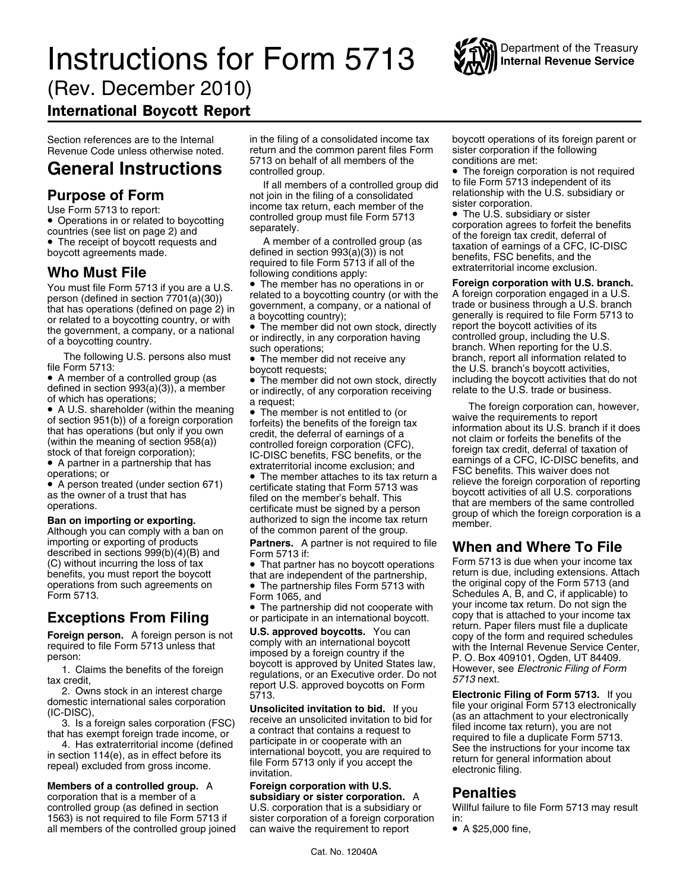# **Instructions for Form 5713** Will Internal Revenue Service



(Rev. December 2010)

International Boycott Report

Countries (see list on page 2) and<br>
■ The receipt of boycott requests and A member of a controlled group (as of the foreign tax credit, deferral of<br>
■ The receipt of boycott requests and a lattice of the foreign tax credi

You must file Form 5713 if you are a U.S. <br>
person (defined in section 7701(a)(30))<br>
that has operations (defined on page 2) in<br>
or related to a boycotting country, or with<br>
a boycotting country);<br>
The member did not own

• A member of a controlled group (as  $\qquad \bullet$ 

• A U.S. shareholder (within the meaning • A U.S. shareholder (within the meaning the nearbors);<br>
of section 951(b)) of a foreign corporation<br>
that has operations (but only if you own<br>
(within the meaning of section 958(a)) of a foreign corporation<br>
(within the m

Although you can comply with a ban on of the common parent of the group. importing or exporting of products **Partners.** A partner is not required to file **When and Where To File**<br>described in sections 999(b)(4)(B) and Form 5713 if:<br>(C) without incurring the loss of tax • That partner has no boy benefits, you must report the boycott that are independent of the partnership, operations from such agreements on  $\bullet$  The partnership files Form 5713 with

corporation that is a member of a **subsidiary or sister corporation.** <sup>A</sup> **Penalties** 1563) is not required to file Form 5713 if sister corporation of a foreign corporation in:<br>all members of the controlled group joined can waive the requirement to report • A \$25,000 fine, all members of the controlled group joined

Section references are to the Internal in the filing of a consolidated income tax boycott operations of its foreign parent or Revenue Code unless otherwise noted. return and the common parent files Form sister corporation if the following<br>
5713 on behalf of all members of the conditions are met:

If all members of a controlled group did<br>
If all members of a consolidated<br>
Use Form 5713 to report:<br>
Use Form 5713 to report:<br>
Use Form 5713 to report:<br>
Controlled group did<br>
In the filing of a consolidated<br>
Sister corpor Use Form 5713 to report:<br>• Operations in or related to boycotting controlled group must file Form 5713 • The U.S. subsidiary or sister<br>countries (see list on page 2) and separately.

• The receipt of boycott requests and<br>boycott agreements made. defined in section 993(a)(3)) is not<br>who Must File to the following conditions apply:<br>Who Must File form 5713 if all of the extraterritorial income exclusion.

• The member has no operations in or

defined in section 993(a)(3)), a member or indirectly, of any corporation receiving relate to the U.S. trade or business.<br>of which has operations; a request; a request:

Form 1065, and Schedules A, B, and C, if applicable) to

## **Members of a controlled group.** A **Foreign corporation with U.S.** corporation that is a member of a **Subsidiary or sister corporation**

**General Instructions**<br>
<sup>571</sup>0 on behalf of all members of a controlled group **idd** to file Form 5713 independent of its

the government, a company, or a national the government, a company, or a national the government, a company, or a national or indirectly, in any corporation having ontrolled group, including the U.S.<br>
The following U.S. pe The following U.S. persons also must<br>
file Form 5713:<br>
• A member of a controlled group (as<br>
• A member of a controlled group (as<br>
• The member did not own stock, directly<br>
including the boycott activities that do not

a request;<br>
• The member is not entitled to (or waive the requirements to report A partner in a partnership that has extraterritorial income exclusion; and<br>
• A partner in a partnership that has extraterritorial income exclusion; and FSC benefits. This waiver does not<br>
• The member attaches to its tax The member attaches to its tax return a<br>• A person treated (under section 671) certificate stating that Form 5713 was beyoget estivities of all U.S. corporations • A person treated (under section 671) certificate stating that Form 5713 was<br>as the owner of a trust that has filed on the member's behalf. This boycott activities of all U.S. corporations<br>operations. that are members of

(C) without incurring the loss of tax **•** That partner has no boycott operations <sup>• Form</sup> 5713 is due when your income tax benefits, you must report the boycott that are independent of the partnership, <sup>return</sup> is due, inc operations from such agreements on the The original copy of the Form 5713 (and • The partnership files Form 5713 with the original copy of the Form 5713 (and Form 5713  $\frac{1}{2}$  Form 5713 With Schedules A, B, and C, if app • The partnership did not cooperate with your income tax return. Do not sign the or participate in an international boycott copy that is attached to your income tax

Exceptions From Filing or participate in an international boycott, copy that is attached to your income tax<br>
Foreign person. A foreign person is not u.S. approved boycotts. You can<br>
required to file Form 5713 unless that<br>

Willful failure to file Form 5713 may result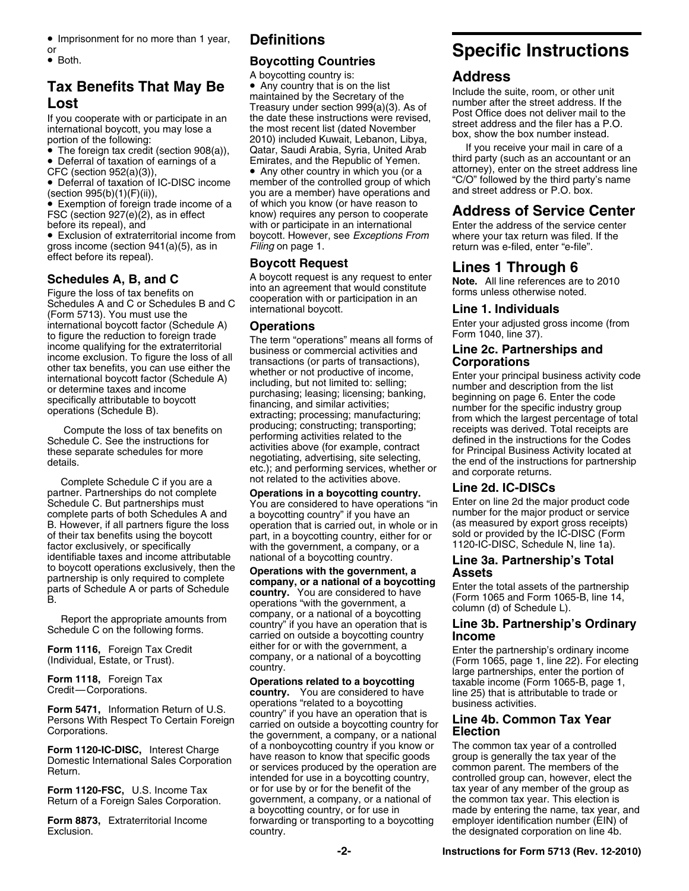- **•** Imprisonment for no more than 1 year, **Definitions**
- 

● Exemption of foreign trade income of a of which you know (or have reason to • Exemption of foreign trade income of a of which you know (or have reason to **Address of Service Center**<br>FSC (section 927(e)(2), as in effect a know) requires any person to cooperate **Address of Service Center** 

• Exclusion of extraterritorial income from boycott. However, see *Exceptions From* where your tax return was filed. If the gross income (section 941(a)(5), as in Filing on page 1. Filing on the section of the return was e-filed, enter "e-file".

international boycott factor (Schedule A) **Operations** Enter your adjusted gross income (from

Complete Schedule C if you are a not related to the activities above.<br>
partner. Partnerships do not complete **Operations in a boycotting cou** Schedule C. But partnerships must You are considered to have operations "in Litter on line 2d the major product code<br>complete parts of both Schedules A and a boycotting country" if you have an number for the major product complete parts of both Schedules A and a boycotting country" if you have an number for the major product or service<br>B. However, if all partners figure the loss operation that is carried out, in whole or in (as measured by B. However, if all partners figure the loss operation that is carried out, in whole or in (as measured by export gross receipts) of their tax benefits using the boycott part, in a boycotting country, either for or sold or of their tax benefits using the boycott part, in a boycotting country, either for or sold or provided by the IC-DISC (For<br>factor exclusively, or specifically with the government, a company, or a 1120-IC-DISC, Schedule N, l factor exclusively, or specifically with the government, a company, or a identifiable taxes and income attributable national of a boycotting country.

## **Boycotting Countries**

**Tax Benefits That May Be**<br> **Exerce** Any country that is on the list<br> **Lost**<br>
If you cooperate with or participate in an<br>
international boycott, you may lose a<br>
international boycott, you may lose a<br>
portion of the followi • The foreign tax credit (section 908(a)), Catar, Saudi Arabia, Syria, United Arab If you receive your mail in care of a • Deferral of taxation of earnings of a  $\degree$  Emirates, and the Republic of Yemen. Third party (such as an accountant or an • Deferral of taxation of IC-DISC income member of the controlled group of which "C/O" followed by the third party's name you are a member) have operations and and street address or P.O. box. (section 995(b)(1)(F)(ii)), before its repeal), and with or participate in an international Enter the address of the service center<br>Exclusion of extraterritorial income from boycott. However, see Exceptions From where your tax return was filed. If th

effect before its repeal).<br> **Schedules A, B, and C**<br>
Figure the loss of tax benefits on<br>
Schedules A and C or Schedules B and C<br>
(Form 5713). You must use the<br>
A and C or Schedules B and C<br>
Schedules A and C or Schedules B

to figure the reduction to foreign trade<br>income exclusion. To figure the extaternitorial<br>income exclusion. To figure the loss of all<br>income exclusion. To figure the loss of all<br>international transactions (or parts of trans

**Conditions in a boycotting country. Line 2d. IC-DISCs**<br>You are considered to have operations "in Enter on line 2d the major product code

identifiable taxes and income attributable<br>to boycott operations exclusively, then the<br>partnership's Total<br>partnership's Total<br>partnership's Total<br>partnership's Total<br>partnership's Total<br>partnership's Complete<br>parts of Sch

**Form 5471,** Information Return of U.S. operations "related to a boycotting business activities.<br>Persons With Respect To Certain Foreign cuntry" if you have an operation that is<br>Corporations. the government, a company, or **Form 1120-IC-DISC**, Interest Charge of a nonboycotting country if you know or The common tax year of a controlled<br>Domestic International Sales Corporation have reason to know that specific goods group is generally the tax **Form 1120-FSC,** U.S. Income Tax or for use by or for the benefit of the tax year of any member of the group as  $\overline{R}$  and  $\overline{R}$  or for use by or for the benefit of the tax year of any member of the group as  $\overline{R}$ Return of a Foreign Sales Corporation. government, a company, or a national of a boycotting country, or for use in **Form 8873,** Extraterritorial Income forwarding or transporting to a boycotting exclusion. Example 2 country. The designated corporation on line 4b.

## • Imprisonment for no more than 1 year, **Definitions**<br> **OREP:** Both. **Specific Instructions**

• Deferral of taxation of earnings of a Emirates, and the Republic of Yemen. Third party (such as an accountant or an CFC (section 952(a)(3)),<br>
• Any other country in which you (or a attorney), enter on the street address

Form 1116, Foreign Tax Credit either for or with the government, a<br>
(Individual, Estate, or Trust).<br>
Form 1118, Foreign Tax **Operations related to a boycotting** large partnership's ender the portion of<br>
Credit—Corporations

made by entering the name, tax year, and<br>employer identification number (EIN) of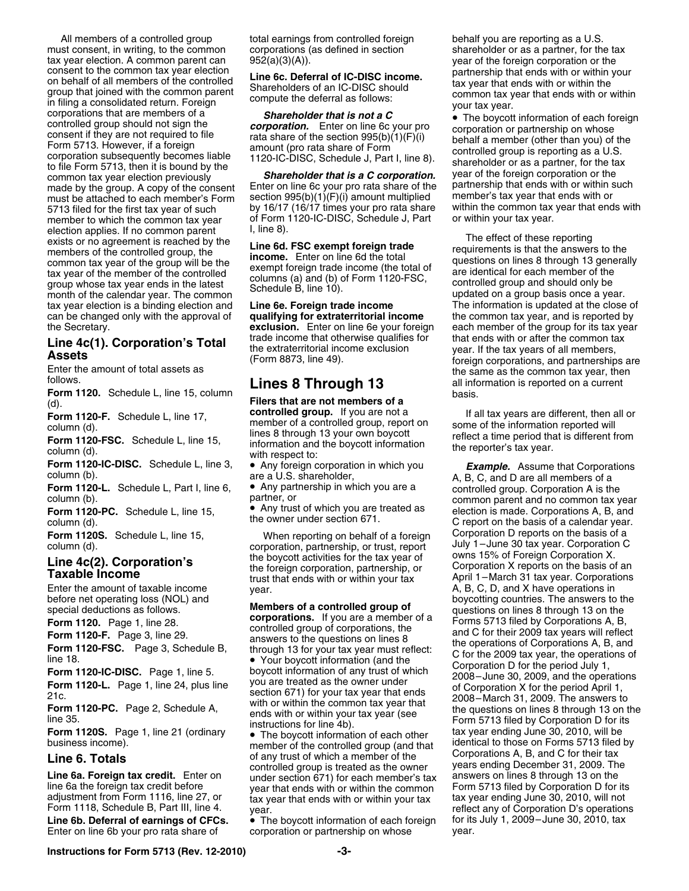All members of a controlled group total earnings from controlled foreign behalf you are reporting as a U.S. must consent, in writing, to the common corporations (as defined in section shareholder or as a partner, for the tax<br>tax year election. A common parent can 952(a)(3)(A)). tax year election. A common parent can  $952(a)(3)(A)$ . year of the foreign corporation or the consent to the common tax year election  $\cdot \cdot \cdot$  and  $\cdot \cdot \cdot$  are  $\cdot \cdot \cdot$  and  $\cdot \cdot \cdot$  and  $\cdot \cdot \cdot$  and  $\cdot \cdot \cdot$  and  $\cdot \cdot \cdot$  and consent to the common tax year election<br>on behalf of all members of the controlled<br>group that joined with the common parent<br>in filing a consolidated return. Foreign<br>compute the deferral as follows:<br>corporations that are m Controlled group shows that are intermed by the controlled group of the controlled group should not sign the<br>
consent if they are not required to file<br>
Form 5713. However, if a foreign<br>
corporation subsequently becomes li common tax year election previously<br>made by the group. A copy of the consent Enter on line 6c your pro rata share of the partnership that ends with or within such<br>must be attached to each member's Form section 995(b)(1)(F) must be attached to each member's Form section 995(b)(1)(F)(i) amount multiplied member's tax year that ends with or<br>5713 filed for the first tax year of such by 16/17 (16/17 times your pro rata share within the common ta 5713 filed for the first tax year of such by 16/17 (16/17 times your pro rata share within the common tax year<br>member to which the common tax year of Form 1120-IC-DISC, Schedule J, Part or within your tax year. member to which the common tax year of Form  $\alpha$  dection anglies If no common parent. election applies. If no common parent  $\mu$ , line 8).<br>
exists or no agreement is reached by the<br>
members of the controlled group, the<br>
common tax year of the group will be the<br>
tax year of the member of the controlled<br>
grou tax year election is a binding election and **Line 6e. Foreign trade income** The information is updated at the close of can be changed only with the approval of **qualifying for extraterritorial income** the common tax year, and is reported by the Secretary. **exclusion.** Enter on line 6e your foreign each member of the group for its tax year

**Follows.**<br>**Form 1120.** Schedule L, line 15, column basis.<br>basis.

**Form 1120-L.** Schedule L, Part I, line 6, **•** Any partnership in which you are a controlled group. Corporation A is the column (b).<br>common parent and no common tax v

(d). **Filers that are not members of a**<br>**Filers that are not members of a**<br>**Form 1120 E** Schoolule Line 17 **controlled group.** If you are not a Form 1120-FSC. Schedule L, line 15, member of a controlled group, report on some of the information reported will<br>
Form 1120-FSC. Schedule L, line 15, information and the boycott information the reporter's tax year.<br>
colum

• Any trust of which you are treated as

corporation, partnership, or trust, report July 1–June 30 tax year. Corporation<br>the hovcott activities for the tax year of Cowns 15% of Foreign Corporation X.

Line 6. Totals<br>
controlled group is treated as the owner years ending December 31, 2009. The controlled group is treated as the owner controlled group is treated as the owner years ending December 31, 2009. The<br>under section 671) for each member's tax answers on lines 8 through 13 on the **Line 6a. Foreign tax credit.** Enter on under section 671) for each member's tax line 6a the foreign tax credit before vear that ends with or within the common line 6a the foreign tax credit before year that ends with or within the common Form 5713 filed by Corporation D for its adjustment from Form 1116, line 27, or tax year that ends with or within your tax tax year ending June

**• The boycott information of each foreign corporation or partnership on whose** Enter on line 6b your pro rata share of corporation or partnership on whose year.

**Line 4c(1). Corporation's Total** trade income that otherwise qualifies for that ends with or after the common tax<br> **Assets** (Form 8873, line 49).<br>
Enter the amount of total assets as the same as the common tax year, then

**Form 1120-F.** Schedule L, line 17, **controlled group.** If you are not a If all tax years are different, then all or column (d)

**Form 1120-IC-DISC.** Schedule L, line 3, **•** Any foreign corporation in which you *Example.* Assume that Corporations column (b). <br>column (b). are a U.S. shareholder, A, B, C, and D are all members of a<br>**Form 1120-L.** Sche common parent and no common tax year Form 1120-PC. Schedule L, line 15, **Form 1120-PC.** Schedule L, line 15, **Form 1120-PC.** Schedule L, line 15, **Publicity Constant Constant Constant Constant Constant Constant Constant Constant Constant Constant Constant Con** column (d). the owner under section 671. C report on the basis of a calendar year. **Form 1120S.** Schedule L, line 15, When reporting on behalf of a foreign Corporation D reports on the basis of a<br>corporation partnership, or trust, report July 1-June 30 tax year. Corporation C Line 4c(2). Corporation's the boycott activities for the tax year of owns 15% of Foreign Corporation X.<br>Taxable Income the foreign corporation, partnership, or Corporation X reports on the basis of an trust that ends with Enter the amount of taxable income year.<br>
Set of the set operations in the operations in the set of the set of the set of the set of the set of the set of the set of the set of the set of the set of the set of the set of t before net operating loss (NOL) and<br>special deductions as follows.<br>**Form 1120.** Page 1, line 28.<br>**Form 1120-F.** Page 3, line 29.<br>**Form 1120-FSC.** Page 3, Schedule B, through 13 for your tax year must reflect:<br>line 18.<br>**For** Form 1120-IC-DISC. Page 1, line 5.<br>
Form 1120-IC-DISC. Page 1, line 5.<br>
Form 1120-IC-DISC. Page 1, line 5.<br>
Form 1120-IC-DISC. Page 1, line 24, plus line<br>
21.<br>
Proporation 671) for your tax year that ends<br>
2008-June 30, 20 Form 1120S. Page 1, line 21 (ordinary **a** The boycott information of each other business income).<br>business income).<br>**The boycott information of each other** that identical to those on Forms 5713 filed by<br>of any trust of whi adjustment from Form 1116, line 27, or tax year that ends with or within your tax tax year ending June 30, 2010, will not<br>Form 1118, Schedule B, Part III, line 4. year. verally vearered any of Corporation D's operations<br>**L** 

**Instructions for Form 5713 (Rev. 12-2010) -3-**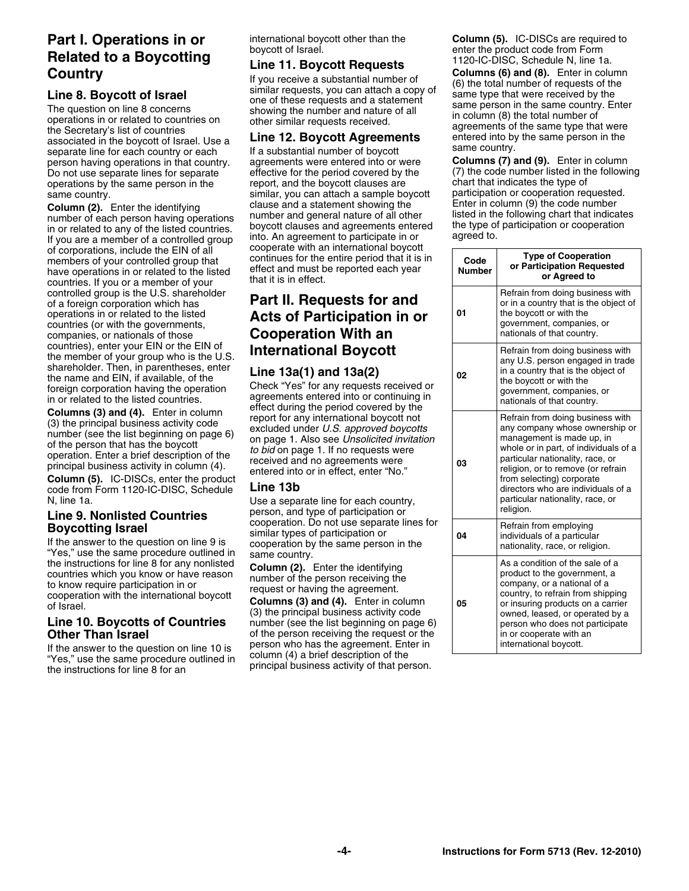Do not use separate lines for separate effective for the period covered by the (7) the code number listed in the following person in the following report, and the boycott clauses are following chart that indicates the type operations by the same person in the example report, and the boycott clauses are chart that indicates the type of<br>
same country exame person in the samilar, you can attach a sample boycott participation or cooperation requ

**Column (2).** Enter the identifying clause and a statement showing the Enter in column (9) the code number<br>number of each person having operations number and general nature of all other listed in the following chart that i of corporations, include the EIN of all cooperate with an international boycott<br>members of your controlled group that continues for the entire period that it is in **Code** Type of Cooperation<br>have operations in or related t controlled group is the U.S. shareholder **Part II. Requests for and** of a foreign corporation which has **Part II. Requests for and** operations in or related to the listed **Acts of Participation in o** operations in or related to the listed **Acts of Participation in or** countries (or with the governments, commes for which the governments,<br>companies, or nationals of those **Cooperation With an**<br>**Cooperational Roveoti** 

If the answer to the question on line 10 is person who has the agreement. Enter in "Yes," use the same procedure outlined in column (4) a brief description of the the instructions for line 8 for an principal business activ

same country.<br>Column (2). Enter the identifying entity on the clause and a statement showing the Enter in column (9) the code number

**Line 10. Boycotts of Countries** (3) the principal business activity code<br>**Line 10. Boycotts of Countries** mumber (see the list beginning on page 6) **Other Than Israel** of the person receiving the request or the

**Part I. Operations in or** international boycott other than the **Column (5).** IC-DISCs are required to **Propertions** boycott of Israel.

**Solution Solution School of State and Solution School of State and Solution School School School School School School School School School School School School School School School School School School School School Schoo** 

person having operations in that country. agreements were entered into or were **Columns (7) and (9).** Enter in column

| of corporations, include the EIN of all<br>members of your controlled group that<br>have operations in or related to the listed<br>countries. If you or a member of your                                                                                                                                                                                                   | cooperate with an international boycott<br>continues for the entire period that it is in<br>effect and must be reported each year<br>that it is in effect.                                                                                                                                                                                                  | Code<br><b>Number</b> | <b>Type of Cooperation</b><br>or Participation Requested<br>or Agreed to                                                                                                                                                                                                                                                               |
|----------------------------------------------------------------------------------------------------------------------------------------------------------------------------------------------------------------------------------------------------------------------------------------------------------------------------------------------------------------------------|-------------------------------------------------------------------------------------------------------------------------------------------------------------------------------------------------------------------------------------------------------------------------------------------------------------------------------------------------------------|-----------------------|----------------------------------------------------------------------------------------------------------------------------------------------------------------------------------------------------------------------------------------------------------------------------------------------------------------------------------------|
| controlled group is the U.S. shareholder<br>of a foreign corporation which has<br>operations in or related to the listed<br>countries (or with the governments,<br>companies, or nationals of those                                                                                                                                                                        | Part II. Requests for and<br><b>Acts of Participation in or</b><br><b>Cooperation With an</b>                                                                                                                                                                                                                                                               | 01                    | Refrain from doing business with<br>or in a country that is the object of<br>the boycott or with the<br>government, companies, or<br>nationals of that country.                                                                                                                                                                        |
| countries), enter your EIN or the EIN of<br>the member of your group who is the U.S.<br>shareholder. Then, in parentheses, enter<br>the name and EIN, if available, of the<br>foreign corporation having the operation<br>in or related to the listed countries.                                                                                                           | <b>International Boycott</b><br>Line 13a(1) and 13a(2)<br>Check "Yes" for any requests received or<br>agreements entered into or continuing in<br>effect during the period covered by the                                                                                                                                                                   | 02                    | Refrain from doing business with<br>any U.S. person engaged in trade<br>in a country that is the object of<br>the boycott or with the<br>government, companies, or<br>nationals of that country.                                                                                                                                       |
| <b>Columns (3) and (4).</b> Enter in column<br>(3) the principal business activity code<br>number (see the list beginning on page 6)<br>of the person that has the boycott<br>operation. Enter a brief description of the<br>principal business activity in column (4).<br>Column (5). IC-DISCs, enter the product<br>code from Form 1120-IC-DISC, Schedule<br>N, line 1a. | report for any international boycott not<br>excluded under U.S. approved boycotts<br>on page 1. Also see Unsolicited invitation<br>to bid on page 1. If no requests were<br>received and no agreements were<br>entered into or in effect, enter "No."<br>Line 13b<br>Use a separate line for each country,<br>person, and type of participation or          | 03                    | Refrain from doing business with<br>any company whose ownership or<br>management is made up, in<br>whole or in part, of individuals of a<br>particular nationality, race, or<br>religion, or to remove (or refrain<br>from selecting) corporate<br>directors who are individuals of a<br>particular nationality, race, or<br>religion. |
| <b>Line 9. Nonlisted Countries</b><br><b>Boycotting Israel</b><br>If the answer to the question on line 9 is<br>"Yes," use the same procedure outlined in                                                                                                                                                                                                                  | cooperation. Do not use separate lines for<br>similar types of participation or<br>cooperation by the same person in the<br>same country.                                                                                                                                                                                                                   | 04                    | Refrain from employing<br>individuals of a particular<br>nationality, race, or religion.                                                                                                                                                                                                                                               |
| the instructions for line 8 for any nonlisted<br>countries which you know or have reason<br>to know require participation in or<br>cooperation with the international boycott<br>of Israel.<br><b>Line 10. Boycotts of Countries</b><br>Other Than Israel<br>If the answer to the question on line 10 is                                                                   | Column (2). Enter the identifying<br>number of the person receiving the<br>request or having the agreement.<br><b>Columns (3) and (4).</b> Enter in column<br>(3) the principal business activity code<br>number (see the list beginning on page 6)<br>of the person receiving the request or the<br>person who has the agreement. Enter in<br>$\mathsf{L}$ | 05                    | As a condition of the sale of a<br>product to the government, a<br>company, or a national of a<br>country, to refrain from shipping<br>or insuring products on a carrier<br>owned, leased, or operated by a<br>person who does not participate<br>in or cooperate with an<br>international boycott.                                    |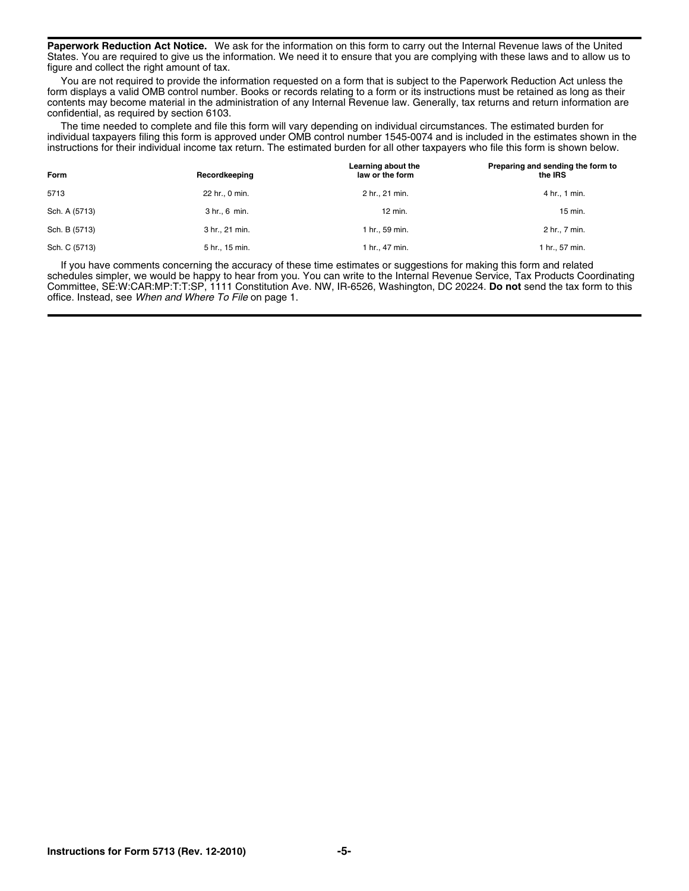**Paperwork Reduction Act Notice.** We ask for the information on this form to carry out the Internal Revenue laws of the United States. You are required to give us the information. We need it to ensure that you are complying with these laws and to allow us to figure and collect the right amount of tax.

You are not required to provide the information requested on a form that is subject to the Paperwork Reduction Act unless the form displays a valid OMB control number. Books or records relating to a form or its instructions must be retained as long as their contents may become material in the administration of any Internal Revenue law. Generally, tax returns and return information are confidential, as required by section 6103.

The time needed to complete and file this form will vary depending on individual circumstances. The estimated burden for individual taxpayers filing this form is approved under OMB control number 1545-0074 and is included in the estimates shown in the instructions for their individual income tax return. The estimated burden for all other taxpayers who file this form is shown below.

| Form          | Recordkeeping  | Learning about the<br>law or the form | Preparing and sending the form to<br>the IRS |
|---------------|----------------|---------------------------------------|----------------------------------------------|
| 5713          | 22 hr., 0 min. | 2 hr., 21 min.                        | 4 hr., 1 min.                                |
| Sch. A (5713) | 3 hr., 6 min.  | 12 min.                               | 15 min.                                      |
| Sch. B (5713) | 3 hr., 21 min. | 1 hr., 59 min.                        | 2 hr., 7 min.                                |
| Sch. C (5713) | 5 hr., 15 min. | 1 hr., 47 min.                        | 1 hr., 57 min.                               |

If you have comments concerning the accuracy of these time estimates or suggestions for making this form and related schedules simpler, we would be happy to hear from you. You can write to the Internal Revenue Service, Tax Products Coordinating Committee, SE:W:CAR:MP:T:T:SP, 1111 Constitution Ave. NW, IR-6526, Washington, DC 20224. **Do not** send the tax form to this office. Instead, see *When and Where To File* on page 1.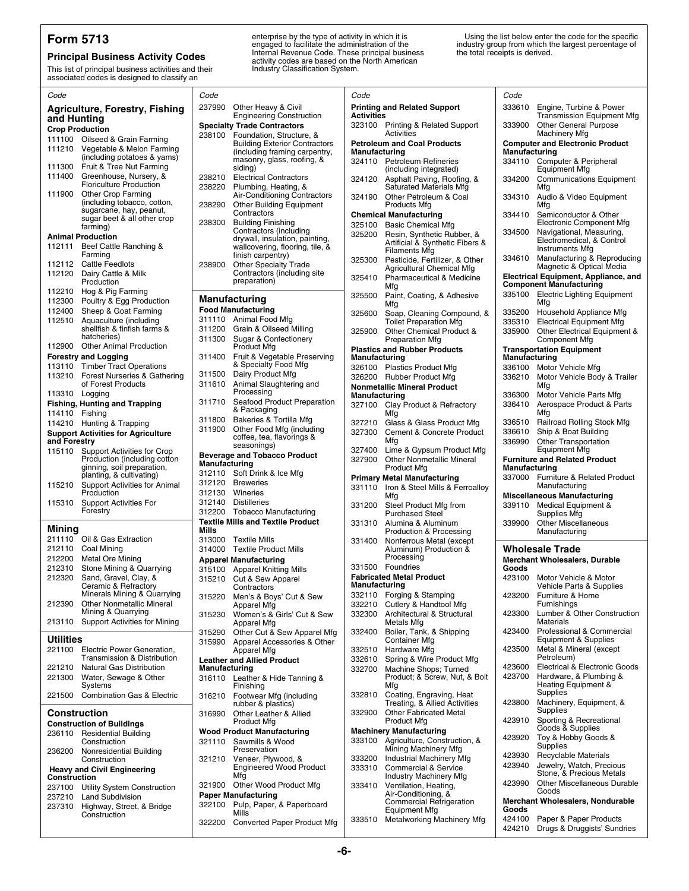This list of principal business activities and their Industry Classification System.<br>associated codes is designed to classify an

**Form 5713**<br> **Principal Business Activity Codes**<br> **Principal Business Activity Codes**<br> **Principal business activity Codes**<br> **Principal business activity Codes**<br> **Principal business activity Codes**<br> **Principal business acti** 

**Form 5713** enterprise by the type of activity in which it is Using the list below enter the code for the specific engaged to facilitate the administration of the industry group from which the largest percentage of literal

| 237990 Other Heavy & Civil<br><b>Printing and Related Support</b><br>333610<br>Engine, Turbine & Power<br><b>Agriculture, Forestry, Fishing</b><br><b>Activities</b><br><b>Engineering Construction</b><br>Transmission Equipment Mfg<br>and Hunting<br>Other General Purpose<br>323100 Printing & Related Support<br><b>Specialty Trade Contractors</b><br>333900<br><b>Crop Production</b><br>Activities<br>Machinery Mfg<br>238100 Foundation, Structure, &<br>111100 Oilseed & Grain Farming<br><b>Computer and Electronic Product</b><br><b>Petroleum and Coal Products</b><br><b>Building Exterior Contractors</b><br>111210 Vegetable & Melon Farming<br>Manufacturing<br>(including framing carpentry,<br>Manufacturing<br>(including potatoes & yams)<br>masonry, glass, roofing, &<br>324110 Petroleum Refineries<br>334110 Computer & Peripheral<br>Fruit & Tree Nut Farming<br>111300<br>siding)<br>(including integrated)<br><b>Equipment Mfg</b><br>111400<br>Greenhouse, Nursery, &<br>238210<br><b>Electrical Contractors</b><br>Asphalt Paving, Roofing, &<br><b>Communications Equipment</b><br>324120<br>334200<br><b>Floriculture Production</b><br>238220<br>Plumbing, Heating, &<br>Saturated Materials Mfg<br>Mfg<br><b>Other Crop Farming</b><br>111900<br>Air-Conditioning Contractors<br>Other Petroleum & Coal<br>324190<br>334310<br>Audio & Video Equipment<br>(including tobacco, cotton,<br>238290<br><b>Other Building Equipment</b><br>Products Mfg<br>Mfg<br>sugarcane, hay, peanut,<br>Contractors<br>Semiconductor & Other<br><b>Chemical Manufacturing</b><br>334410<br>sugar beet & all other crop<br><b>Building Finishing</b><br>238300<br>Electronic Component Mfg<br>325100 Basic Chemical Mfg<br>farming)<br>Contractors (including<br>Navigational, Measuring,<br>334500<br>325200<br>Resin, Synthetic Rubber, &<br><b>Animal Production</b><br>drywall, insulation, painting,<br>Electromedical, & Control<br>Artificial & Synthetic Fibers &<br>112111<br>Beef Cattle Ranching &<br>wallcovering, flooring, tile, &<br>Instruments Mfg<br><b>Filaments Mfg</b><br>Farming<br>finish carpentry)<br>Manufacturing & Reproducing<br>334610<br>Pesticide, Fertilizer, & Other<br>325300<br>112112 Cattle Feedlots<br>238900<br><b>Other Specialty Trade</b><br>Magnetic & Optical Media<br>Agricultural Chemical Mfg<br>Contractors (including site<br>112120<br>Dairy Cattle & Milk<br><b>Electrical Equipment, Appliance, and</b><br>Pharmaceutical & Medicine<br>325410<br>preparation)<br>Production<br><b>Component Manufacturing</b><br>Mfg<br>112210 Hog & Pig Farming<br>335100 Electric Lighting Equipment<br>325500<br>Paint, Coating, & Adhesive<br>Manufacturing<br>112300<br>Poultry & Egg Production<br>Mfg<br>Mfg<br><b>Food Manufacturing</b><br>112400<br>Sheep & Goat Farming<br>335200<br>Household Appliance Mfg<br>Soap, Cleaning Compound, &<br>325600<br>311110 Animal Food Mfg<br>112510<br>Aquaculture (including<br><b>Toilet Preparation Mfg</b><br>335310<br><b>Electrical Equipment Mfg</b><br>shellfish & finfish farms &<br>311200 Grain & Oilseed Milling<br>Other Electrical Equipment &<br>325900<br>Other Chemical Product &<br>335900<br>hatcheries)<br>311300 Sugar & Confectionery<br><b>Preparation Mfg</b><br>Component Mfg<br>112900 Other Animal Production<br><b>Product Mfg</b><br><b>Plastics and Rubber Products</b><br><b>Transportation Equipment</b><br>311400 Fruit & Vegetable Preserving<br><b>Forestry and Logging</b><br>Manufacturing<br>Manufacturing<br>& Specialty Food Mfg<br>113110 Timber Tract Operations<br>326100 Plastics Product Mfg<br>336100 Motor Vehicle Mfg<br>Dairy Product Mfg<br>311500<br>113210 Forest Nurseries & Gathering<br>326200 Rubber Product Mfg<br>336210<br>Motor Vehicle Body & Trailer<br>Animal Slaughtering and<br>of Forest Products<br>311610<br>Mfa<br><b>Nonmetallic Mineral Product</b><br>Processing<br>113310 Logging<br>336300<br>Motor Vehicle Parts Mfg<br>Manufacturing<br>Seafood Product Preparation<br>311710<br><b>Fishing, Hunting and Trapping</b><br>336410<br>Aerospace Product & Parts<br>327100 Clay Product & Refractory<br>& Packaging<br>Mfa<br>114110 Fishing<br>Mfg<br>Bakeries & Tortilla Mfg<br>311800<br>Railroad Rolling Stock Mfg<br>Glass & Glass Product Mfg<br>336510<br>114210 Hunting & Trapping<br>327210<br>311900<br>Other Food Mfg (including<br>Ship & Boat Building<br>327300<br>Cement & Concrete Product<br>336610<br><b>Support Activities for Agriculture</b><br>coffee, tea, flavorings &<br>Mfg<br>and Forestry<br>336990<br><b>Other Transportation</b><br>seasonings)<br><b>Equipment Mfg</b><br>Lime & Gypsum Product Mfg<br>327400<br><b>Support Activities for Crop</b><br>115110<br><b>Beverage and Tobacco Product</b><br>Production (including cotton)<br>327900<br><b>Furniture and Related Product</b><br><b>Other Nonmetallic Mineral</b><br>Manufacturing<br>ginning, soil preparation,<br>Manufacturing<br><b>Product Mfg</b><br>312110 Soft Drink & Ice Mfg<br>planting, & cultivating)<br>337000 Furniture & Related Product<br><b>Primary Metal Manufacturing</b><br>312120 Breweries<br>Support Activities for Animal<br>115210<br>Manufacturing<br>331110<br>Iron & Steel Mills & Ferroalloy<br>312130 Wineries<br>Production<br><b>Miscellaneous Manufacturing</b><br>Mfa<br><b>Distilleries</b><br>312140<br>115310<br><b>Support Activities For</b><br>Steel Product Mfg from<br>339110<br>Medical Equipment &<br>331200<br>Forestry<br>312200 Tobacco Manufacturing<br><b>Purchased Steel</b><br>Supplies Mfg<br><b>Textile Mills and Textile Product</b><br>Alumina & Aluminum<br><b>Other Miscellaneous</b><br>331310<br>339900<br>Mining<br>Mills<br>Production & Processing<br>Manufacturing<br>211110 Oil & Gas Extraction<br>313000 Textile Mills<br>Nonferrous Metal (except<br>331400<br>212110 Coal Mining<br>Aluminum) Production &<br><b>Wholesale Trade</b><br>314000 Textile Product Mills<br>Processing<br>212200<br>Metal Ore Mining<br><b>Apparel Manufacturing</b><br><b>Merchant Wholesalers, Durable</b><br>331500 Foundries<br>212310<br>Stone Mining & Quarrying<br>Goods<br>315100 Apparel Knitting Mills<br><b>Fabricated Metal Product</b><br>212320<br>Sand, Gravel, Clay, &<br>423100<br>Motor Vehicle & Motor<br>315210 Cut & Sew Apparel<br><b>Manufacturing</b><br>Ceramic & Refractory<br>Vehicle Parts & Supplies<br>Contractors<br>Minerals Mining & Quarrying<br>Forging & Stamping<br>332110<br>423200<br>Furniture & Home<br>Men's & Boys' Cut & Sew<br>315220<br><b>Other Nonmetallic Mineral</b><br>212390<br>Cutlery & Handtool Mfg<br>Furnishings<br>332210<br>Apparel Mfg<br>Mining & Quarrying<br>Architectural & Structural<br>423300<br>Lumber & Other Construction<br>332300<br>Women's & Girls' Cut & Sew<br>315230<br><b>Support Activities for Mining</b><br>Materials<br>213110<br>Metals Mfg<br>Apparel Mfg<br>Professional & Commercial<br>423400<br>332400<br>Boiler, Tank, & Shipping<br>Other Cut & Sew Apparel Mfg<br>315290<br><b>Utilities</b><br>Equipment & Supplies<br><b>Container Mfg</b><br>Apparel Accessories & Other<br>315990<br>Metal & Mineral (except<br>423500<br>Electric Power Generation,<br>221100<br>332510<br>Hardware Mfg<br>Apparel Mfg<br>Petroleum)<br>Transmission & Distribution<br>Spring & Wire Product Mfg<br>332610<br><b>Leather and Allied Product</b><br>Electrical & Electronic Goods<br>423600<br><b>Natural Gas Distribution</b><br>221210<br>Manufacturing<br>332700<br>Machine Shops; Turned<br>Hardware, & Plumbing &<br>423700<br>Water, Sewage & Other<br>Product; & Screw, Nut, & Bolt<br>221300<br>316110 Leather & Hide Tanning &<br>Heating Equipment &<br>Systems<br>Mfg<br>Finishing<br>Supplies<br>221500 Combination Gas & Electric<br>332810<br>Coating, Engraving, Heat<br>Footwear Mfg (including<br>316210<br>Machinery, Equipment, &<br>Treating, & Allied Activities<br>423800<br>rubber & plastics)<br>Supplies<br><b>Other Fabricated Metal</b><br><b>Construction</b><br>332900<br>Other Leather & Allied<br>316990<br>Sporting & Recreational<br><b>Product Mfg</b><br>423910<br><b>Product Mfg</b><br><b>Construction of Buildings</b><br>Goods & Supplies<br><b>Machinery Manufacturing</b><br><b>Wood Product Manufacturing</b><br>236110 Residential Building<br>Toy & Hobby Goods &<br>423920<br>Agriculture, Construction, &<br>333100<br>321110 Sawmills & Wood<br>Construction<br>Supplies<br>Mining Machinery Mfg<br>Preservation<br>Nonresidential Building<br>236200<br>423930<br>Recyclable Materials<br>333200<br>Industrial Machinery Mfg<br>Veneer, Plywood, &<br>321210<br>Construction<br>Jewelry, Watch, Precious<br>423940<br><b>Engineered Wood Product</b><br>333310<br><b>Commercial &amp; Service</b><br><b>Heavy and Civil Engineering</b><br>Stone, & Precious Metals<br>Mfg<br>Industry Machinery Mfg<br><b>Construction</b><br><b>Other Miscellaneous Durable</b><br>423990<br>321900 Other Wood Product Mfg<br>Ventilation, Heating,<br>333410<br>237100 Utility System Construction<br>Goods<br>Air-Conditioning, &<br><b>Paper Manufacturing</b><br>237210 Land Subdivision<br>Merchant Wholesalers, Nondurable<br><b>Commercial Refrigeration</b><br>Pulp, Paper, & Paperboard<br>322100<br>237310 Highway, Street, & Bridge | Code | Code  | Code                 | Code  |
|-------------------------------------------------------------------------------------------------------------------------------------------------------------------------------------------------------------------------------------------------------------------------------------------------------------------------------------------------------------------------------------------------------------------------------------------------------------------------------------------------------------------------------------------------------------------------------------------------------------------------------------------------------------------------------------------------------------------------------------------------------------------------------------------------------------------------------------------------------------------------------------------------------------------------------------------------------------------------------------------------------------------------------------------------------------------------------------------------------------------------------------------------------------------------------------------------------------------------------------------------------------------------------------------------------------------------------------------------------------------------------------------------------------------------------------------------------------------------------------------------------------------------------------------------------------------------------------------------------------------------------------------------------------------------------------------------------------------------------------------------------------------------------------------------------------------------------------------------------------------------------------------------------------------------------------------------------------------------------------------------------------------------------------------------------------------------------------------------------------------------------------------------------------------------------------------------------------------------------------------------------------------------------------------------------------------------------------------------------------------------------------------------------------------------------------------------------------------------------------------------------------------------------------------------------------------------------------------------------------------------------------------------------------------------------------------------------------------------------------------------------------------------------------------------------------------------------------------------------------------------------------------------------------------------------------------------------------------------------------------------------------------------------------------------------------------------------------------------------------------------------------------------------------------------------------------------------------------------------------------------------------------------------------------------------------------------------------------------------------------------------------------------------------------------------------------------------------------------------------------------------------------------------------------------------------------------------------------------------------------------------------------------------------------------------------------------------------------------------------------------------------------------------------------------------------------------------------------------------------------------------------------------------------------------------------------------------------------------------------------------------------------------------------------------------------------------------------------------------------------------------------------------------------------------------------------------------------------------------------------------------------------------------------------------------------------------------------------------------------------------------------------------------------------------------------------------------------------------------------------------------------------------------------------------------------------------------------------------------------------------------------------------------------------------------------------------------------------------------------------------------------------------------------------------------------------------------------------------------------------------------------------------------------------------------------------------------------------------------------------------------------------------------------------------------------------------------------------------------------------------------------------------------------------------------------------------------------------------------------------------------------------------------------------------------------------------------------------------------------------------------------------------------------------------------------------------------------------------------------------------------------------------------------------------------------------------------------------------------------------------------------------------------------------------------------------------------------------------------------------------------------------------------------------------------------------------------------------------------------------------------------------------------------------------------------------------------------------------------------------------------------------------------------------------------------------------------------------------------------------------------------------------------------------------------------------------------------------------------------------------------------------------------------------------------------------------------------------------------------------------------------------------------------------------------------------------------------------------------------------------------------------------------------------------------------------------------------------------------------------------------------------------------------------------------------------------------------------------------------------------------------------------------------------------------------------------------------------------------------------------------------------------------------------------------------------------------------------------------------------------------------------------------------------------------------------------------------------------------------------------------------------------------------------------------------------------------------------------------------------------------------------------------------------------------------------------------------------------------------------------------------------------------------------------------------------------------------------------------------------------------------------------------------------------------------------------------------------------------------------------------------------------------------------------------------------------------------------------------------------------------------------------------------------------------------------------------------------------------------------------------------------------------------------------------------------------------------------------------------------------------------------------------------------------------------------------------------------------------------------------------------------------------------------------------------------------------------------------------------------------------------------------------------------------------------------------------------------------------------------------------------------------------------------------------------------------------------------------------------------------------------------------------------------------------------------------------------------------------------------------------------------------------------------------------------------------------------------------------------------------------------------------------------------------------------------------------------------------------------------------------------------------------------------------------------------------------------------------------------------------------------------------------------------------------------------------------------------------------------------------------------------------------------------------------------------------------------------------------------------------------------------------------------------------------------------------------------------------------------------------------------------|------|-------|----------------------|-------|
|                                                                                                                                                                                                                                                                                                                                                                                                                                                                                                                                                                                                                                                                                                                                                                                                                                                                                                                                                                                                                                                                                                                                                                                                                                                                                                                                                                                                                                                                                                                                                                                                                                                                                                                                                                                                                                                                                                                                                                                                                                                                                                                                                                                                                                                                                                                                                                                                                                                                                                                                                                                                                                                                                                                                                                                                                                                                                                                                                                                                                                                                                                                                                                                                                                                                                                                                                                                                                                                                                                                                                                                                                                                                                                                                                                                                                                                                                                                                                                                                                                                                                                                                                                                                                                                                                                                                                                                                                                                                                                                                                                                                                                                                                                                                                                                                                                                                                                                                                                                                                                                                                                                                                                                                                                                                                                                                                                                                                                                                                                                                                                                                                                                                                                                                                                                                                                                                                                                                                                                                                                                                                                                                                                                                                                                                                                                                                                                                                                                                                                                                                                                                                                                                                                                                                                                                                                                                                                                                                                                                                                                                                                                                                                                                                                                                                                                                                                                                                                                                                                                                                                                                                                                                                                                                                                                                                                                                                                                                                                                                                                                                                                                                                                                                                                                                                                                                                                                                                                                                                                                                                                                                                                                                                                                                                                                                                                                                                                                                                                                                                                                                                                                                                                                                                                                                                                                                                                                           |      |       |                      |       |
|                                                                                                                                                                                                                                                                                                                                                                                                                                                                                                                                                                                                                                                                                                                                                                                                                                                                                                                                                                                                                                                                                                                                                                                                                                                                                                                                                                                                                                                                                                                                                                                                                                                                                                                                                                                                                                                                                                                                                                                                                                                                                                                                                                                                                                                                                                                                                                                                                                                                                                                                                                                                                                                                                                                                                                                                                                                                                                                                                                                                                                                                                                                                                                                                                                                                                                                                                                                                                                                                                                                                                                                                                                                                                                                                                                                                                                                                                                                                                                                                                                                                                                                                                                                                                                                                                                                                                                                                                                                                                                                                                                                                                                                                                                                                                                                                                                                                                                                                                                                                                                                                                                                                                                                                                                                                                                                                                                                                                                                                                                                                                                                                                                                                                                                                                                                                                                                                                                                                                                                                                                                                                                                                                                                                                                                                                                                                                                                                                                                                                                                                                                                                                                                                                                                                                                                                                                                                                                                                                                                                                                                                                                                                                                                                                                                                                                                                                                                                                                                                                                                                                                                                                                                                                                                                                                                                                                                                                                                                                                                                                                                                                                                                                                                                                                                                                                                                                                                                                                                                                                                                                                                                                                                                                                                                                                                                                                                                                                                                                                                                                                                                                                                                                                                                                                                                                                                                                                                           |      |       |                      |       |
|                                                                                                                                                                                                                                                                                                                                                                                                                                                                                                                                                                                                                                                                                                                                                                                                                                                                                                                                                                                                                                                                                                                                                                                                                                                                                                                                                                                                                                                                                                                                                                                                                                                                                                                                                                                                                                                                                                                                                                                                                                                                                                                                                                                                                                                                                                                                                                                                                                                                                                                                                                                                                                                                                                                                                                                                                                                                                                                                                                                                                                                                                                                                                                                                                                                                                                                                                                                                                                                                                                                                                                                                                                                                                                                                                                                                                                                                                                                                                                                                                                                                                                                                                                                                                                                                                                                                                                                                                                                                                                                                                                                                                                                                                                                                                                                                                                                                                                                                                                                                                                                                                                                                                                                                                                                                                                                                                                                                                                                                                                                                                                                                                                                                                                                                                                                                                                                                                                                                                                                                                                                                                                                                                                                                                                                                                                                                                                                                                                                                                                                                                                                                                                                                                                                                                                                                                                                                                                                                                                                                                                                                                                                                                                                                                                                                                                                                                                                                                                                                                                                                                                                                                                                                                                                                                                                                                                                                                                                                                                                                                                                                                                                                                                                                                                                                                                                                                                                                                                                                                                                                                                                                                                                                                                                                                                                                                                                                                                                                                                                                                                                                                                                                                                                                                                                                                                                                                                                           |      |       |                      |       |
|                                                                                                                                                                                                                                                                                                                                                                                                                                                                                                                                                                                                                                                                                                                                                                                                                                                                                                                                                                                                                                                                                                                                                                                                                                                                                                                                                                                                                                                                                                                                                                                                                                                                                                                                                                                                                                                                                                                                                                                                                                                                                                                                                                                                                                                                                                                                                                                                                                                                                                                                                                                                                                                                                                                                                                                                                                                                                                                                                                                                                                                                                                                                                                                                                                                                                                                                                                                                                                                                                                                                                                                                                                                                                                                                                                                                                                                                                                                                                                                                                                                                                                                                                                                                                                                                                                                                                                                                                                                                                                                                                                                                                                                                                                                                                                                                                                                                                                                                                                                                                                                                                                                                                                                                                                                                                                                                                                                                                                                                                                                                                                                                                                                                                                                                                                                                                                                                                                                                                                                                                                                                                                                                                                                                                                                                                                                                                                                                                                                                                                                                                                                                                                                                                                                                                                                                                                                                                                                                                                                                                                                                                                                                                                                                                                                                                                                                                                                                                                                                                                                                                                                                                                                                                                                                                                                                                                                                                                                                                                                                                                                                                                                                                                                                                                                                                                                                                                                                                                                                                                                                                                                                                                                                                                                                                                                                                                                                                                                                                                                                                                                                                                                                                                                                                                                                                                                                                                                           |      |       |                      |       |
|                                                                                                                                                                                                                                                                                                                                                                                                                                                                                                                                                                                                                                                                                                                                                                                                                                                                                                                                                                                                                                                                                                                                                                                                                                                                                                                                                                                                                                                                                                                                                                                                                                                                                                                                                                                                                                                                                                                                                                                                                                                                                                                                                                                                                                                                                                                                                                                                                                                                                                                                                                                                                                                                                                                                                                                                                                                                                                                                                                                                                                                                                                                                                                                                                                                                                                                                                                                                                                                                                                                                                                                                                                                                                                                                                                                                                                                                                                                                                                                                                                                                                                                                                                                                                                                                                                                                                                                                                                                                                                                                                                                                                                                                                                                                                                                                                                                                                                                                                                                                                                                                                                                                                                                                                                                                                                                                                                                                                                                                                                                                                                                                                                                                                                                                                                                                                                                                                                                                                                                                                                                                                                                                                                                                                                                                                                                                                                                                                                                                                                                                                                                                                                                                                                                                                                                                                                                                                                                                                                                                                                                                                                                                                                                                                                                                                                                                                                                                                                                                                                                                                                                                                                                                                                                                                                                                                                                                                                                                                                                                                                                                                                                                                                                                                                                                                                                                                                                                                                                                                                                                                                                                                                                                                                                                                                                                                                                                                                                                                                                                                                                                                                                                                                                                                                                                                                                                                                                           |      |       |                      |       |
|                                                                                                                                                                                                                                                                                                                                                                                                                                                                                                                                                                                                                                                                                                                                                                                                                                                                                                                                                                                                                                                                                                                                                                                                                                                                                                                                                                                                                                                                                                                                                                                                                                                                                                                                                                                                                                                                                                                                                                                                                                                                                                                                                                                                                                                                                                                                                                                                                                                                                                                                                                                                                                                                                                                                                                                                                                                                                                                                                                                                                                                                                                                                                                                                                                                                                                                                                                                                                                                                                                                                                                                                                                                                                                                                                                                                                                                                                                                                                                                                                                                                                                                                                                                                                                                                                                                                                                                                                                                                                                                                                                                                                                                                                                                                                                                                                                                                                                                                                                                                                                                                                                                                                                                                                                                                                                                                                                                                                                                                                                                                                                                                                                                                                                                                                                                                                                                                                                                                                                                                                                                                                                                                                                                                                                                                                                                                                                                                                                                                                                                                                                                                                                                                                                                                                                                                                                                                                                                                                                                                                                                                                                                                                                                                                                                                                                                                                                                                                                                                                                                                                                                                                                                                                                                                                                                                                                                                                                                                                                                                                                                                                                                                                                                                                                                                                                                                                                                                                                                                                                                                                                                                                                                                                                                                                                                                                                                                                                                                                                                                                                                                                                                                                                                                                                                                                                                                                                                           |      |       |                      |       |
|                                                                                                                                                                                                                                                                                                                                                                                                                                                                                                                                                                                                                                                                                                                                                                                                                                                                                                                                                                                                                                                                                                                                                                                                                                                                                                                                                                                                                                                                                                                                                                                                                                                                                                                                                                                                                                                                                                                                                                                                                                                                                                                                                                                                                                                                                                                                                                                                                                                                                                                                                                                                                                                                                                                                                                                                                                                                                                                                                                                                                                                                                                                                                                                                                                                                                                                                                                                                                                                                                                                                                                                                                                                                                                                                                                                                                                                                                                                                                                                                                                                                                                                                                                                                                                                                                                                                                                                                                                                                                                                                                                                                                                                                                                                                                                                                                                                                                                                                                                                                                                                                                                                                                                                                                                                                                                                                                                                                                                                                                                                                                                                                                                                                                                                                                                                                                                                                                                                                                                                                                                                                                                                                                                                                                                                                                                                                                                                                                                                                                                                                                                                                                                                                                                                                                                                                                                                                                                                                                                                                                                                                                                                                                                                                                                                                                                                                                                                                                                                                                                                                                                                                                                                                                                                                                                                                                                                                                                                                                                                                                                                                                                                                                                                                                                                                                                                                                                                                                                                                                                                                                                                                                                                                                                                                                                                                                                                                                                                                                                                                                                                                                                                                                                                                                                                                                                                                                                                           |      |       |                      |       |
|                                                                                                                                                                                                                                                                                                                                                                                                                                                                                                                                                                                                                                                                                                                                                                                                                                                                                                                                                                                                                                                                                                                                                                                                                                                                                                                                                                                                                                                                                                                                                                                                                                                                                                                                                                                                                                                                                                                                                                                                                                                                                                                                                                                                                                                                                                                                                                                                                                                                                                                                                                                                                                                                                                                                                                                                                                                                                                                                                                                                                                                                                                                                                                                                                                                                                                                                                                                                                                                                                                                                                                                                                                                                                                                                                                                                                                                                                                                                                                                                                                                                                                                                                                                                                                                                                                                                                                                                                                                                                                                                                                                                                                                                                                                                                                                                                                                                                                                                                                                                                                                                                                                                                                                                                                                                                                                                                                                                                                                                                                                                                                                                                                                                                                                                                                                                                                                                                                                                                                                                                                                                                                                                                                                                                                                                                                                                                                                                                                                                                                                                                                                                                                                                                                                                                                                                                                                                                                                                                                                                                                                                                                                                                                                                                                                                                                                                                                                                                                                                                                                                                                                                                                                                                                                                                                                                                                                                                                                                                                                                                                                                                                                                                                                                                                                                                                                                                                                                                                                                                                                                                                                                                                                                                                                                                                                                                                                                                                                                                                                                                                                                                                                                                                                                                                                                                                                                                                                           |      |       |                      |       |
|                                                                                                                                                                                                                                                                                                                                                                                                                                                                                                                                                                                                                                                                                                                                                                                                                                                                                                                                                                                                                                                                                                                                                                                                                                                                                                                                                                                                                                                                                                                                                                                                                                                                                                                                                                                                                                                                                                                                                                                                                                                                                                                                                                                                                                                                                                                                                                                                                                                                                                                                                                                                                                                                                                                                                                                                                                                                                                                                                                                                                                                                                                                                                                                                                                                                                                                                                                                                                                                                                                                                                                                                                                                                                                                                                                                                                                                                                                                                                                                                                                                                                                                                                                                                                                                                                                                                                                                                                                                                                                                                                                                                                                                                                                                                                                                                                                                                                                                                                                                                                                                                                                                                                                                                                                                                                                                                                                                                                                                                                                                                                                                                                                                                                                                                                                                                                                                                                                                                                                                                                                                                                                                                                                                                                                                                                                                                                                                                                                                                                                                                                                                                                                                                                                                                                                                                                                                                                                                                                                                                                                                                                                                                                                                                                                                                                                                                                                                                                                                                                                                                                                                                                                                                                                                                                                                                                                                                                                                                                                                                                                                                                                                                                                                                                                                                                                                                                                                                                                                                                                                                                                                                                                                                                                                                                                                                                                                                                                                                                                                                                                                                                                                                                                                                                                                                                                                                                                                           |      |       |                      |       |
|                                                                                                                                                                                                                                                                                                                                                                                                                                                                                                                                                                                                                                                                                                                                                                                                                                                                                                                                                                                                                                                                                                                                                                                                                                                                                                                                                                                                                                                                                                                                                                                                                                                                                                                                                                                                                                                                                                                                                                                                                                                                                                                                                                                                                                                                                                                                                                                                                                                                                                                                                                                                                                                                                                                                                                                                                                                                                                                                                                                                                                                                                                                                                                                                                                                                                                                                                                                                                                                                                                                                                                                                                                                                                                                                                                                                                                                                                                                                                                                                                                                                                                                                                                                                                                                                                                                                                                                                                                                                                                                                                                                                                                                                                                                                                                                                                                                                                                                                                                                                                                                                                                                                                                                                                                                                                                                                                                                                                                                                                                                                                                                                                                                                                                                                                                                                                                                                                                                                                                                                                                                                                                                                                                                                                                                                                                                                                                                                                                                                                                                                                                                                                                                                                                                                                                                                                                                                                                                                                                                                                                                                                                                                                                                                                                                                                                                                                                                                                                                                                                                                                                                                                                                                                                                                                                                                                                                                                                                                                                                                                                                                                                                                                                                                                                                                                                                                                                                                                                                                                                                                                                                                                                                                                                                                                                                                                                                                                                                                                                                                                                                                                                                                                                                                                                                                                                                                                                                           |      |       |                      |       |
|                                                                                                                                                                                                                                                                                                                                                                                                                                                                                                                                                                                                                                                                                                                                                                                                                                                                                                                                                                                                                                                                                                                                                                                                                                                                                                                                                                                                                                                                                                                                                                                                                                                                                                                                                                                                                                                                                                                                                                                                                                                                                                                                                                                                                                                                                                                                                                                                                                                                                                                                                                                                                                                                                                                                                                                                                                                                                                                                                                                                                                                                                                                                                                                                                                                                                                                                                                                                                                                                                                                                                                                                                                                                                                                                                                                                                                                                                                                                                                                                                                                                                                                                                                                                                                                                                                                                                                                                                                                                                                                                                                                                                                                                                                                                                                                                                                                                                                                                                                                                                                                                                                                                                                                                                                                                                                                                                                                                                                                                                                                                                                                                                                                                                                                                                                                                                                                                                                                                                                                                                                                                                                                                                                                                                                                                                                                                                                                                                                                                                                                                                                                                                                                                                                                                                                                                                                                                                                                                                                                                                                                                                                                                                                                                                                                                                                                                                                                                                                                                                                                                                                                                                                                                                                                                                                                                                                                                                                                                                                                                                                                                                                                                                                                                                                                                                                                                                                                                                                                                                                                                                                                                                                                                                                                                                                                                                                                                                                                                                                                                                                                                                                                                                                                                                                                                                                                                                                                           |      |       |                      |       |
|                                                                                                                                                                                                                                                                                                                                                                                                                                                                                                                                                                                                                                                                                                                                                                                                                                                                                                                                                                                                                                                                                                                                                                                                                                                                                                                                                                                                                                                                                                                                                                                                                                                                                                                                                                                                                                                                                                                                                                                                                                                                                                                                                                                                                                                                                                                                                                                                                                                                                                                                                                                                                                                                                                                                                                                                                                                                                                                                                                                                                                                                                                                                                                                                                                                                                                                                                                                                                                                                                                                                                                                                                                                                                                                                                                                                                                                                                                                                                                                                                                                                                                                                                                                                                                                                                                                                                                                                                                                                                                                                                                                                                                                                                                                                                                                                                                                                                                                                                                                                                                                                                                                                                                                                                                                                                                                                                                                                                                                                                                                                                                                                                                                                                                                                                                                                                                                                                                                                                                                                                                                                                                                                                                                                                                                                                                                                                                                                                                                                                                                                                                                                                                                                                                                                                                                                                                                                                                                                                                                                                                                                                                                                                                                                                                                                                                                                                                                                                                                                                                                                                                                                                                                                                                                                                                                                                                                                                                                                                                                                                                                                                                                                                                                                                                                                                                                                                                                                                                                                                                                                                                                                                                                                                                                                                                                                                                                                                                                                                                                                                                                                                                                                                                                                                                                                                                                                                                                           |      |       |                      |       |
|                                                                                                                                                                                                                                                                                                                                                                                                                                                                                                                                                                                                                                                                                                                                                                                                                                                                                                                                                                                                                                                                                                                                                                                                                                                                                                                                                                                                                                                                                                                                                                                                                                                                                                                                                                                                                                                                                                                                                                                                                                                                                                                                                                                                                                                                                                                                                                                                                                                                                                                                                                                                                                                                                                                                                                                                                                                                                                                                                                                                                                                                                                                                                                                                                                                                                                                                                                                                                                                                                                                                                                                                                                                                                                                                                                                                                                                                                                                                                                                                                                                                                                                                                                                                                                                                                                                                                                                                                                                                                                                                                                                                                                                                                                                                                                                                                                                                                                                                                                                                                                                                                                                                                                                                                                                                                                                                                                                                                                                                                                                                                                                                                                                                                                                                                                                                                                                                                                                                                                                                                                                                                                                                                                                                                                                                                                                                                                                                                                                                                                                                                                                                                                                                                                                                                                                                                                                                                                                                                                                                                                                                                                                                                                                                                                                                                                                                                                                                                                                                                                                                                                                                                                                                                                                                                                                                                                                                                                                                                                                                                                                                                                                                                                                                                                                                                                                                                                                                                                                                                                                                                                                                                                                                                                                                                                                                                                                                                                                                                                                                                                                                                                                                                                                                                                                                                                                                                                                           |      |       |                      |       |
|                                                                                                                                                                                                                                                                                                                                                                                                                                                                                                                                                                                                                                                                                                                                                                                                                                                                                                                                                                                                                                                                                                                                                                                                                                                                                                                                                                                                                                                                                                                                                                                                                                                                                                                                                                                                                                                                                                                                                                                                                                                                                                                                                                                                                                                                                                                                                                                                                                                                                                                                                                                                                                                                                                                                                                                                                                                                                                                                                                                                                                                                                                                                                                                                                                                                                                                                                                                                                                                                                                                                                                                                                                                                                                                                                                                                                                                                                                                                                                                                                                                                                                                                                                                                                                                                                                                                                                                                                                                                                                                                                                                                                                                                                                                                                                                                                                                                                                                                                                                                                                                                                                                                                                                                                                                                                                                                                                                                                                                                                                                                                                                                                                                                                                                                                                                                                                                                                                                                                                                                                                                                                                                                                                                                                                                                                                                                                                                                                                                                                                                                                                                                                                                                                                                                                                                                                                                                                                                                                                                                                                                                                                                                                                                                                                                                                                                                                                                                                                                                                                                                                                                                                                                                                                                                                                                                                                                                                                                                                                                                                                                                                                                                                                                                                                                                                                                                                                                                                                                                                                                                                                                                                                                                                                                                                                                                                                                                                                                                                                                                                                                                                                                                                                                                                                                                                                                                                                                           |      |       |                      |       |
|                                                                                                                                                                                                                                                                                                                                                                                                                                                                                                                                                                                                                                                                                                                                                                                                                                                                                                                                                                                                                                                                                                                                                                                                                                                                                                                                                                                                                                                                                                                                                                                                                                                                                                                                                                                                                                                                                                                                                                                                                                                                                                                                                                                                                                                                                                                                                                                                                                                                                                                                                                                                                                                                                                                                                                                                                                                                                                                                                                                                                                                                                                                                                                                                                                                                                                                                                                                                                                                                                                                                                                                                                                                                                                                                                                                                                                                                                                                                                                                                                                                                                                                                                                                                                                                                                                                                                                                                                                                                                                                                                                                                                                                                                                                                                                                                                                                                                                                                                                                                                                                                                                                                                                                                                                                                                                                                                                                                                                                                                                                                                                                                                                                                                                                                                                                                                                                                                                                                                                                                                                                                                                                                                                                                                                                                                                                                                                                                                                                                                                                                                                                                                                                                                                                                                                                                                                                                                                                                                                                                                                                                                                                                                                                                                                                                                                                                                                                                                                                                                                                                                                                                                                                                                                                                                                                                                                                                                                                                                                                                                                                                                                                                                                                                                                                                                                                                                                                                                                                                                                                                                                                                                                                                                                                                                                                                                                                                                                                                                                                                                                                                                                                                                                                                                                                                                                                                                                                           |      |       |                      |       |
|                                                                                                                                                                                                                                                                                                                                                                                                                                                                                                                                                                                                                                                                                                                                                                                                                                                                                                                                                                                                                                                                                                                                                                                                                                                                                                                                                                                                                                                                                                                                                                                                                                                                                                                                                                                                                                                                                                                                                                                                                                                                                                                                                                                                                                                                                                                                                                                                                                                                                                                                                                                                                                                                                                                                                                                                                                                                                                                                                                                                                                                                                                                                                                                                                                                                                                                                                                                                                                                                                                                                                                                                                                                                                                                                                                                                                                                                                                                                                                                                                                                                                                                                                                                                                                                                                                                                                                                                                                                                                                                                                                                                                                                                                                                                                                                                                                                                                                                                                                                                                                                                                                                                                                                                                                                                                                                                                                                                                                                                                                                                                                                                                                                                                                                                                                                                                                                                                                                                                                                                                                                                                                                                                                                                                                                                                                                                                                                                                                                                                                                                                                                                                                                                                                                                                                                                                                                                                                                                                                                                                                                                                                                                                                                                                                                                                                                                                                                                                                                                                                                                                                                                                                                                                                                                                                                                                                                                                                                                                                                                                                                                                                                                                                                                                                                                                                                                                                                                                                                                                                                                                                                                                                                                                                                                                                                                                                                                                                                                                                                                                                                                                                                                                                                                                                                                                                                                                                                           |      |       |                      |       |
|                                                                                                                                                                                                                                                                                                                                                                                                                                                                                                                                                                                                                                                                                                                                                                                                                                                                                                                                                                                                                                                                                                                                                                                                                                                                                                                                                                                                                                                                                                                                                                                                                                                                                                                                                                                                                                                                                                                                                                                                                                                                                                                                                                                                                                                                                                                                                                                                                                                                                                                                                                                                                                                                                                                                                                                                                                                                                                                                                                                                                                                                                                                                                                                                                                                                                                                                                                                                                                                                                                                                                                                                                                                                                                                                                                                                                                                                                                                                                                                                                                                                                                                                                                                                                                                                                                                                                                                                                                                                                                                                                                                                                                                                                                                                                                                                                                                                                                                                                                                                                                                                                                                                                                                                                                                                                                                                                                                                                                                                                                                                                                                                                                                                                                                                                                                                                                                                                                                                                                                                                                                                                                                                                                                                                                                                                                                                                                                                                                                                                                                                                                                                                                                                                                                                                                                                                                                                                                                                                                                                                                                                                                                                                                                                                                                                                                                                                                                                                                                                                                                                                                                                                                                                                                                                                                                                                                                                                                                                                                                                                                                                                                                                                                                                                                                                                                                                                                                                                                                                                                                                                                                                                                                                                                                                                                                                                                                                                                                                                                                                                                                                                                                                                                                                                                                                                                                                                                                           |      |       |                      |       |
|                                                                                                                                                                                                                                                                                                                                                                                                                                                                                                                                                                                                                                                                                                                                                                                                                                                                                                                                                                                                                                                                                                                                                                                                                                                                                                                                                                                                                                                                                                                                                                                                                                                                                                                                                                                                                                                                                                                                                                                                                                                                                                                                                                                                                                                                                                                                                                                                                                                                                                                                                                                                                                                                                                                                                                                                                                                                                                                                                                                                                                                                                                                                                                                                                                                                                                                                                                                                                                                                                                                                                                                                                                                                                                                                                                                                                                                                                                                                                                                                                                                                                                                                                                                                                                                                                                                                                                                                                                                                                                                                                                                                                                                                                                                                                                                                                                                                                                                                                                                                                                                                                                                                                                                                                                                                                                                                                                                                                                                                                                                                                                                                                                                                                                                                                                                                                                                                                                                                                                                                                                                                                                                                                                                                                                                                                                                                                                                                                                                                                                                                                                                                                                                                                                                                                                                                                                                                                                                                                                                                                                                                                                                                                                                                                                                                                                                                                                                                                                                                                                                                                                                                                                                                                                                                                                                                                                                                                                                                                                                                                                                                                                                                                                                                                                                                                                                                                                                                                                                                                                                                                                                                                                                                                                                                                                                                                                                                                                                                                                                                                                                                                                                                                                                                                                                                                                                                                                                           |      |       |                      |       |
|                                                                                                                                                                                                                                                                                                                                                                                                                                                                                                                                                                                                                                                                                                                                                                                                                                                                                                                                                                                                                                                                                                                                                                                                                                                                                                                                                                                                                                                                                                                                                                                                                                                                                                                                                                                                                                                                                                                                                                                                                                                                                                                                                                                                                                                                                                                                                                                                                                                                                                                                                                                                                                                                                                                                                                                                                                                                                                                                                                                                                                                                                                                                                                                                                                                                                                                                                                                                                                                                                                                                                                                                                                                                                                                                                                                                                                                                                                                                                                                                                                                                                                                                                                                                                                                                                                                                                                                                                                                                                                                                                                                                                                                                                                                                                                                                                                                                                                                                                                                                                                                                                                                                                                                                                                                                                                                                                                                                                                                                                                                                                                                                                                                                                                                                                                                                                                                                                                                                                                                                                                                                                                                                                                                                                                                                                                                                                                                                                                                                                                                                                                                                                                                                                                                                                                                                                                                                                                                                                                                                                                                                                                                                                                                                                                                                                                                                                                                                                                                                                                                                                                                                                                                                                                                                                                                                                                                                                                                                                                                                                                                                                                                                                                                                                                                                                                                                                                                                                                                                                                                                                                                                                                                                                                                                                                                                                                                                                                                                                                                                                                                                                                                                                                                                                                                                                                                                                                                           |      |       |                      |       |
|                                                                                                                                                                                                                                                                                                                                                                                                                                                                                                                                                                                                                                                                                                                                                                                                                                                                                                                                                                                                                                                                                                                                                                                                                                                                                                                                                                                                                                                                                                                                                                                                                                                                                                                                                                                                                                                                                                                                                                                                                                                                                                                                                                                                                                                                                                                                                                                                                                                                                                                                                                                                                                                                                                                                                                                                                                                                                                                                                                                                                                                                                                                                                                                                                                                                                                                                                                                                                                                                                                                                                                                                                                                                                                                                                                                                                                                                                                                                                                                                                                                                                                                                                                                                                                                                                                                                                                                                                                                                                                                                                                                                                                                                                                                                                                                                                                                                                                                                                                                                                                                                                                                                                                                                                                                                                                                                                                                                                                                                                                                                                                                                                                                                                                                                                                                                                                                                                                                                                                                                                                                                                                                                                                                                                                                                                                                                                                                                                                                                                                                                                                                                                                                                                                                                                                                                                                                                                                                                                                                                                                                                                                                                                                                                                                                                                                                                                                                                                                                                                                                                                                                                                                                                                                                                                                                                                                                                                                                                                                                                                                                                                                                                                                                                                                                                                                                                                                                                                                                                                                                                                                                                                                                                                                                                                                                                                                                                                                                                                                                                                                                                                                                                                                                                                                                                                                                                                                                           |      |       |                      |       |
|                                                                                                                                                                                                                                                                                                                                                                                                                                                                                                                                                                                                                                                                                                                                                                                                                                                                                                                                                                                                                                                                                                                                                                                                                                                                                                                                                                                                                                                                                                                                                                                                                                                                                                                                                                                                                                                                                                                                                                                                                                                                                                                                                                                                                                                                                                                                                                                                                                                                                                                                                                                                                                                                                                                                                                                                                                                                                                                                                                                                                                                                                                                                                                                                                                                                                                                                                                                                                                                                                                                                                                                                                                                                                                                                                                                                                                                                                                                                                                                                                                                                                                                                                                                                                                                                                                                                                                                                                                                                                                                                                                                                                                                                                                                                                                                                                                                                                                                                                                                                                                                                                                                                                                                                                                                                                                                                                                                                                                                                                                                                                                                                                                                                                                                                                                                                                                                                                                                                                                                                                                                                                                                                                                                                                                                                                                                                                                                                                                                                                                                                                                                                                                                                                                                                                                                                                                                                                                                                                                                                                                                                                                                                                                                                                                                                                                                                                                                                                                                                                                                                                                                                                                                                                                                                                                                                                                                                                                                                                                                                                                                                                                                                                                                                                                                                                                                                                                                                                                                                                                                                                                                                                                                                                                                                                                                                                                                                                                                                                                                                                                                                                                                                                                                                                                                                                                                                                                                           |      |       |                      |       |
|                                                                                                                                                                                                                                                                                                                                                                                                                                                                                                                                                                                                                                                                                                                                                                                                                                                                                                                                                                                                                                                                                                                                                                                                                                                                                                                                                                                                                                                                                                                                                                                                                                                                                                                                                                                                                                                                                                                                                                                                                                                                                                                                                                                                                                                                                                                                                                                                                                                                                                                                                                                                                                                                                                                                                                                                                                                                                                                                                                                                                                                                                                                                                                                                                                                                                                                                                                                                                                                                                                                                                                                                                                                                                                                                                                                                                                                                                                                                                                                                                                                                                                                                                                                                                                                                                                                                                                                                                                                                                                                                                                                                                                                                                                                                                                                                                                                                                                                                                                                                                                                                                                                                                                                                                                                                                                                                                                                                                                                                                                                                                                                                                                                                                                                                                                                                                                                                                                                                                                                                                                                                                                                                                                                                                                                                                                                                                                                                                                                                                                                                                                                                                                                                                                                                                                                                                                                                                                                                                                                                                                                                                                                                                                                                                                                                                                                                                                                                                                                                                                                                                                                                                                                                                                                                                                                                                                                                                                                                                                                                                                                                                                                                                                                                                                                                                                                                                                                                                                                                                                                                                                                                                                                                                                                                                                                                                                                                                                                                                                                                                                                                                                                                                                                                                                                                                                                                                                                           |      |       |                      |       |
|                                                                                                                                                                                                                                                                                                                                                                                                                                                                                                                                                                                                                                                                                                                                                                                                                                                                                                                                                                                                                                                                                                                                                                                                                                                                                                                                                                                                                                                                                                                                                                                                                                                                                                                                                                                                                                                                                                                                                                                                                                                                                                                                                                                                                                                                                                                                                                                                                                                                                                                                                                                                                                                                                                                                                                                                                                                                                                                                                                                                                                                                                                                                                                                                                                                                                                                                                                                                                                                                                                                                                                                                                                                                                                                                                                                                                                                                                                                                                                                                                                                                                                                                                                                                                                                                                                                                                                                                                                                                                                                                                                                                                                                                                                                                                                                                                                                                                                                                                                                                                                                                                                                                                                                                                                                                                                                                                                                                                                                                                                                                                                                                                                                                                                                                                                                                                                                                                                                                                                                                                                                                                                                                                                                                                                                                                                                                                                                                                                                                                                                                                                                                                                                                                                                                                                                                                                                                                                                                                                                                                                                                                                                                                                                                                                                                                                                                                                                                                                                                                                                                                                                                                                                                                                                                                                                                                                                                                                                                                                                                                                                                                                                                                                                                                                                                                                                                                                                                                                                                                                                                                                                                                                                                                                                                                                                                                                                                                                                                                                                                                                                                                                                                                                                                                                                                                                                                                                                           |      |       |                      |       |
|                                                                                                                                                                                                                                                                                                                                                                                                                                                                                                                                                                                                                                                                                                                                                                                                                                                                                                                                                                                                                                                                                                                                                                                                                                                                                                                                                                                                                                                                                                                                                                                                                                                                                                                                                                                                                                                                                                                                                                                                                                                                                                                                                                                                                                                                                                                                                                                                                                                                                                                                                                                                                                                                                                                                                                                                                                                                                                                                                                                                                                                                                                                                                                                                                                                                                                                                                                                                                                                                                                                                                                                                                                                                                                                                                                                                                                                                                                                                                                                                                                                                                                                                                                                                                                                                                                                                                                                                                                                                                                                                                                                                                                                                                                                                                                                                                                                                                                                                                                                                                                                                                                                                                                                                                                                                                                                                                                                                                                                                                                                                                                                                                                                                                                                                                                                                                                                                                                                                                                                                                                                                                                                                                                                                                                                                                                                                                                                                                                                                                                                                                                                                                                                                                                                                                                                                                                                                                                                                                                                                                                                                                                                                                                                                                                                                                                                                                                                                                                                                                                                                                                                                                                                                                                                                                                                                                                                                                                                                                                                                                                                                                                                                                                                                                                                                                                                                                                                                                                                                                                                                                                                                                                                                                                                                                                                                                                                                                                                                                                                                                                                                                                                                                                                                                                                                                                                                                                                           |      |       |                      |       |
|                                                                                                                                                                                                                                                                                                                                                                                                                                                                                                                                                                                                                                                                                                                                                                                                                                                                                                                                                                                                                                                                                                                                                                                                                                                                                                                                                                                                                                                                                                                                                                                                                                                                                                                                                                                                                                                                                                                                                                                                                                                                                                                                                                                                                                                                                                                                                                                                                                                                                                                                                                                                                                                                                                                                                                                                                                                                                                                                                                                                                                                                                                                                                                                                                                                                                                                                                                                                                                                                                                                                                                                                                                                                                                                                                                                                                                                                                                                                                                                                                                                                                                                                                                                                                                                                                                                                                                                                                                                                                                                                                                                                                                                                                                                                                                                                                                                                                                                                                                                                                                                                                                                                                                                                                                                                                                                                                                                                                                                                                                                                                                                                                                                                                                                                                                                                                                                                                                                                                                                                                                                                                                                                                                                                                                                                                                                                                                                                                                                                                                                                                                                                                                                                                                                                                                                                                                                                                                                                                                                                                                                                                                                                                                                                                                                                                                                                                                                                                                                                                                                                                                                                                                                                                                                                                                                                                                                                                                                                                                                                                                                                                                                                                                                                                                                                                                                                                                                                                                                                                                                                                                                                                                                                                                                                                                                                                                                                                                                                                                                                                                                                                                                                                                                                                                                                                                                                                                                           |      |       |                      |       |
|                                                                                                                                                                                                                                                                                                                                                                                                                                                                                                                                                                                                                                                                                                                                                                                                                                                                                                                                                                                                                                                                                                                                                                                                                                                                                                                                                                                                                                                                                                                                                                                                                                                                                                                                                                                                                                                                                                                                                                                                                                                                                                                                                                                                                                                                                                                                                                                                                                                                                                                                                                                                                                                                                                                                                                                                                                                                                                                                                                                                                                                                                                                                                                                                                                                                                                                                                                                                                                                                                                                                                                                                                                                                                                                                                                                                                                                                                                                                                                                                                                                                                                                                                                                                                                                                                                                                                                                                                                                                                                                                                                                                                                                                                                                                                                                                                                                                                                                                                                                                                                                                                                                                                                                                                                                                                                                                                                                                                                                                                                                                                                                                                                                                                                                                                                                                                                                                                                                                                                                                                                                                                                                                                                                                                                                                                                                                                                                                                                                                                                                                                                                                                                                                                                                                                                                                                                                                                                                                                                                                                                                                                                                                                                                                                                                                                                                                                                                                                                                                                                                                                                                                                                                                                                                                                                                                                                                                                                                                                                                                                                                                                                                                                                                                                                                                                                                                                                                                                                                                                                                                                                                                                                                                                                                                                                                                                                                                                                                                                                                                                                                                                                                                                                                                                                                                                                                                                                                           |      |       |                      |       |
|                                                                                                                                                                                                                                                                                                                                                                                                                                                                                                                                                                                                                                                                                                                                                                                                                                                                                                                                                                                                                                                                                                                                                                                                                                                                                                                                                                                                                                                                                                                                                                                                                                                                                                                                                                                                                                                                                                                                                                                                                                                                                                                                                                                                                                                                                                                                                                                                                                                                                                                                                                                                                                                                                                                                                                                                                                                                                                                                                                                                                                                                                                                                                                                                                                                                                                                                                                                                                                                                                                                                                                                                                                                                                                                                                                                                                                                                                                                                                                                                                                                                                                                                                                                                                                                                                                                                                                                                                                                                                                                                                                                                                                                                                                                                                                                                                                                                                                                                                                                                                                                                                                                                                                                                                                                                                                                                                                                                                                                                                                                                                                                                                                                                                                                                                                                                                                                                                                                                                                                                                                                                                                                                                                                                                                                                                                                                                                                                                                                                                                                                                                                                                                                                                                                                                                                                                                                                                                                                                                                                                                                                                                                                                                                                                                                                                                                                                                                                                                                                                                                                                                                                                                                                                                                                                                                                                                                                                                                                                                                                                                                                                                                                                                                                                                                                                                                                                                                                                                                                                                                                                                                                                                                                                                                                                                                                                                                                                                                                                                                                                                                                                                                                                                                                                                                                                                                                                                                           |      |       |                      |       |
|                                                                                                                                                                                                                                                                                                                                                                                                                                                                                                                                                                                                                                                                                                                                                                                                                                                                                                                                                                                                                                                                                                                                                                                                                                                                                                                                                                                                                                                                                                                                                                                                                                                                                                                                                                                                                                                                                                                                                                                                                                                                                                                                                                                                                                                                                                                                                                                                                                                                                                                                                                                                                                                                                                                                                                                                                                                                                                                                                                                                                                                                                                                                                                                                                                                                                                                                                                                                                                                                                                                                                                                                                                                                                                                                                                                                                                                                                                                                                                                                                                                                                                                                                                                                                                                                                                                                                                                                                                                                                                                                                                                                                                                                                                                                                                                                                                                                                                                                                                                                                                                                                                                                                                                                                                                                                                                                                                                                                                                                                                                                                                                                                                                                                                                                                                                                                                                                                                                                                                                                                                                                                                                                                                                                                                                                                                                                                                                                                                                                                                                                                                                                                                                                                                                                                                                                                                                                                                                                                                                                                                                                                                                                                                                                                                                                                                                                                                                                                                                                                                                                                                                                                                                                                                                                                                                                                                                                                                                                                                                                                                                                                                                                                                                                                                                                                                                                                                                                                                                                                                                                                                                                                                                                                                                                                                                                                                                                                                                                                                                                                                                                                                                                                                                                                                                                                                                                                                                           |      |       |                      |       |
|                                                                                                                                                                                                                                                                                                                                                                                                                                                                                                                                                                                                                                                                                                                                                                                                                                                                                                                                                                                                                                                                                                                                                                                                                                                                                                                                                                                                                                                                                                                                                                                                                                                                                                                                                                                                                                                                                                                                                                                                                                                                                                                                                                                                                                                                                                                                                                                                                                                                                                                                                                                                                                                                                                                                                                                                                                                                                                                                                                                                                                                                                                                                                                                                                                                                                                                                                                                                                                                                                                                                                                                                                                                                                                                                                                                                                                                                                                                                                                                                                                                                                                                                                                                                                                                                                                                                                                                                                                                                                                                                                                                                                                                                                                                                                                                                                                                                                                                                                                                                                                                                                                                                                                                                                                                                                                                                                                                                                                                                                                                                                                                                                                                                                                                                                                                                                                                                                                                                                                                                                                                                                                                                                                                                                                                                                                                                                                                                                                                                                                                                                                                                                                                                                                                                                                                                                                                                                                                                                                                                                                                                                                                                                                                                                                                                                                                                                                                                                                                                                                                                                                                                                                                                                                                                                                                                                                                                                                                                                                                                                                                                                                                                                                                                                                                                                                                                                                                                                                                                                                                                                                                                                                                                                                                                                                                                                                                                                                                                                                                                                                                                                                                                                                                                                                                                                                                                                                                           |      |       |                      |       |
|                                                                                                                                                                                                                                                                                                                                                                                                                                                                                                                                                                                                                                                                                                                                                                                                                                                                                                                                                                                                                                                                                                                                                                                                                                                                                                                                                                                                                                                                                                                                                                                                                                                                                                                                                                                                                                                                                                                                                                                                                                                                                                                                                                                                                                                                                                                                                                                                                                                                                                                                                                                                                                                                                                                                                                                                                                                                                                                                                                                                                                                                                                                                                                                                                                                                                                                                                                                                                                                                                                                                                                                                                                                                                                                                                                                                                                                                                                                                                                                                                                                                                                                                                                                                                                                                                                                                                                                                                                                                                                                                                                                                                                                                                                                                                                                                                                                                                                                                                                                                                                                                                                                                                                                                                                                                                                                                                                                                                                                                                                                                                                                                                                                                                                                                                                                                                                                                                                                                                                                                                                                                                                                                                                                                                                                                                                                                                                                                                                                                                                                                                                                                                                                                                                                                                                                                                                                                                                                                                                                                                                                                                                                                                                                                                                                                                                                                                                                                                                                                                                                                                                                                                                                                                                                                                                                                                                                                                                                                                                                                                                                                                                                                                                                                                                                                                                                                                                                                                                                                                                                                                                                                                                                                                                                                                                                                                                                                                                                                                                                                                                                                                                                                                                                                                                                                                                                                                                                           |      |       |                      |       |
|                                                                                                                                                                                                                                                                                                                                                                                                                                                                                                                                                                                                                                                                                                                                                                                                                                                                                                                                                                                                                                                                                                                                                                                                                                                                                                                                                                                                                                                                                                                                                                                                                                                                                                                                                                                                                                                                                                                                                                                                                                                                                                                                                                                                                                                                                                                                                                                                                                                                                                                                                                                                                                                                                                                                                                                                                                                                                                                                                                                                                                                                                                                                                                                                                                                                                                                                                                                                                                                                                                                                                                                                                                                                                                                                                                                                                                                                                                                                                                                                                                                                                                                                                                                                                                                                                                                                                                                                                                                                                                                                                                                                                                                                                                                                                                                                                                                                                                                                                                                                                                                                                                                                                                                                                                                                                                                                                                                                                                                                                                                                                                                                                                                                                                                                                                                                                                                                                                                                                                                                                                                                                                                                                                                                                                                                                                                                                                                                                                                                                                                                                                                                                                                                                                                                                                                                                                                                                                                                                                                                                                                                                                                                                                                                                                                                                                                                                                                                                                                                                                                                                                                                                                                                                                                                                                                                                                                                                                                                                                                                                                                                                                                                                                                                                                                                                                                                                                                                                                                                                                                                                                                                                                                                                                                                                                                                                                                                                                                                                                                                                                                                                                                                                                                                                                                                                                                                                                                           |      |       |                      |       |
|                                                                                                                                                                                                                                                                                                                                                                                                                                                                                                                                                                                                                                                                                                                                                                                                                                                                                                                                                                                                                                                                                                                                                                                                                                                                                                                                                                                                                                                                                                                                                                                                                                                                                                                                                                                                                                                                                                                                                                                                                                                                                                                                                                                                                                                                                                                                                                                                                                                                                                                                                                                                                                                                                                                                                                                                                                                                                                                                                                                                                                                                                                                                                                                                                                                                                                                                                                                                                                                                                                                                                                                                                                                                                                                                                                                                                                                                                                                                                                                                                                                                                                                                                                                                                                                                                                                                                                                                                                                                                                                                                                                                                                                                                                                                                                                                                                                                                                                                                                                                                                                                                                                                                                                                                                                                                                                                                                                                                                                                                                                                                                                                                                                                                                                                                                                                                                                                                                                                                                                                                                                                                                                                                                                                                                                                                                                                                                                                                                                                                                                                                                                                                                                                                                                                                                                                                                                                                                                                                                                                                                                                                                                                                                                                                                                                                                                                                                                                                                                                                                                                                                                                                                                                                                                                                                                                                                                                                                                                                                                                                                                                                                                                                                                                                                                                                                                                                                                                                                                                                                                                                                                                                                                                                                                                                                                                                                                                                                                                                                                                                                                                                                                                                                                                                                                                                                                                                                                           |      |       |                      |       |
|                                                                                                                                                                                                                                                                                                                                                                                                                                                                                                                                                                                                                                                                                                                                                                                                                                                                                                                                                                                                                                                                                                                                                                                                                                                                                                                                                                                                                                                                                                                                                                                                                                                                                                                                                                                                                                                                                                                                                                                                                                                                                                                                                                                                                                                                                                                                                                                                                                                                                                                                                                                                                                                                                                                                                                                                                                                                                                                                                                                                                                                                                                                                                                                                                                                                                                                                                                                                                                                                                                                                                                                                                                                                                                                                                                                                                                                                                                                                                                                                                                                                                                                                                                                                                                                                                                                                                                                                                                                                                                                                                                                                                                                                                                                                                                                                                                                                                                                                                                                                                                                                                                                                                                                                                                                                                                                                                                                                                                                                                                                                                                                                                                                                                                                                                                                                                                                                                                                                                                                                                                                                                                                                                                                                                                                                                                                                                                                                                                                                                                                                                                                                                                                                                                                                                                                                                                                                                                                                                                                                                                                                                                                                                                                                                                                                                                                                                                                                                                                                                                                                                                                                                                                                                                                                                                                                                                                                                                                                                                                                                                                                                                                                                                                                                                                                                                                                                                                                                                                                                                                                                                                                                                                                                                                                                                                                                                                                                                                                                                                                                                                                                                                                                                                                                                                                                                                                                                                           |      |       |                      |       |
|                                                                                                                                                                                                                                                                                                                                                                                                                                                                                                                                                                                                                                                                                                                                                                                                                                                                                                                                                                                                                                                                                                                                                                                                                                                                                                                                                                                                                                                                                                                                                                                                                                                                                                                                                                                                                                                                                                                                                                                                                                                                                                                                                                                                                                                                                                                                                                                                                                                                                                                                                                                                                                                                                                                                                                                                                                                                                                                                                                                                                                                                                                                                                                                                                                                                                                                                                                                                                                                                                                                                                                                                                                                                                                                                                                                                                                                                                                                                                                                                                                                                                                                                                                                                                                                                                                                                                                                                                                                                                                                                                                                                                                                                                                                                                                                                                                                                                                                                                                                                                                                                                                                                                                                                                                                                                                                                                                                                                                                                                                                                                                                                                                                                                                                                                                                                                                                                                                                                                                                                                                                                                                                                                                                                                                                                                                                                                                                                                                                                                                                                                                                                                                                                                                                                                                                                                                                                                                                                                                                                                                                                                                                                                                                                                                                                                                                                                                                                                                                                                                                                                                                                                                                                                                                                                                                                                                                                                                                                                                                                                                                                                                                                                                                                                                                                                                                                                                                                                                                                                                                                                                                                                                                                                                                                                                                                                                                                                                                                                                                                                                                                                                                                                                                                                                                                                                                                                                                           |      |       |                      |       |
|                                                                                                                                                                                                                                                                                                                                                                                                                                                                                                                                                                                                                                                                                                                                                                                                                                                                                                                                                                                                                                                                                                                                                                                                                                                                                                                                                                                                                                                                                                                                                                                                                                                                                                                                                                                                                                                                                                                                                                                                                                                                                                                                                                                                                                                                                                                                                                                                                                                                                                                                                                                                                                                                                                                                                                                                                                                                                                                                                                                                                                                                                                                                                                                                                                                                                                                                                                                                                                                                                                                                                                                                                                                                                                                                                                                                                                                                                                                                                                                                                                                                                                                                                                                                                                                                                                                                                                                                                                                                                                                                                                                                                                                                                                                                                                                                                                                                                                                                                                                                                                                                                                                                                                                                                                                                                                                                                                                                                                                                                                                                                                                                                                                                                                                                                                                                                                                                                                                                                                                                                                                                                                                                                                                                                                                                                                                                                                                                                                                                                                                                                                                                                                                                                                                                                                                                                                                                                                                                                                                                                                                                                                                                                                                                                                                                                                                                                                                                                                                                                                                                                                                                                                                                                                                                                                                                                                                                                                                                                                                                                                                                                                                                                                                                                                                                                                                                                                                                                                                                                                                                                                                                                                                                                                                                                                                                                                                                                                                                                                                                                                                                                                                                                                                                                                                                                                                                                                                           |      |       |                      |       |
|                                                                                                                                                                                                                                                                                                                                                                                                                                                                                                                                                                                                                                                                                                                                                                                                                                                                                                                                                                                                                                                                                                                                                                                                                                                                                                                                                                                                                                                                                                                                                                                                                                                                                                                                                                                                                                                                                                                                                                                                                                                                                                                                                                                                                                                                                                                                                                                                                                                                                                                                                                                                                                                                                                                                                                                                                                                                                                                                                                                                                                                                                                                                                                                                                                                                                                                                                                                                                                                                                                                                                                                                                                                                                                                                                                                                                                                                                                                                                                                                                                                                                                                                                                                                                                                                                                                                                                                                                                                                                                                                                                                                                                                                                                                                                                                                                                                                                                                                                                                                                                                                                                                                                                                                                                                                                                                                                                                                                                                                                                                                                                                                                                                                                                                                                                                                                                                                                                                                                                                                                                                                                                                                                                                                                                                                                                                                                                                                                                                                                                                                                                                                                                                                                                                                                                                                                                                                                                                                                                                                                                                                                                                                                                                                                                                                                                                                                                                                                                                                                                                                                                                                                                                                                                                                                                                                                                                                                                                                                                                                                                                                                                                                                                                                                                                                                                                                                                                                                                                                                                                                                                                                                                                                                                                                                                                                                                                                                                                                                                                                                                                                                                                                                                                                                                                                                                                                                                                           |      |       |                      |       |
|                                                                                                                                                                                                                                                                                                                                                                                                                                                                                                                                                                                                                                                                                                                                                                                                                                                                                                                                                                                                                                                                                                                                                                                                                                                                                                                                                                                                                                                                                                                                                                                                                                                                                                                                                                                                                                                                                                                                                                                                                                                                                                                                                                                                                                                                                                                                                                                                                                                                                                                                                                                                                                                                                                                                                                                                                                                                                                                                                                                                                                                                                                                                                                                                                                                                                                                                                                                                                                                                                                                                                                                                                                                                                                                                                                                                                                                                                                                                                                                                                                                                                                                                                                                                                                                                                                                                                                                                                                                                                                                                                                                                                                                                                                                                                                                                                                                                                                                                                                                                                                                                                                                                                                                                                                                                                                                                                                                                                                                                                                                                                                                                                                                                                                                                                                                                                                                                                                                                                                                                                                                                                                                                                                                                                                                                                                                                                                                                                                                                                                                                                                                                                                                                                                                                                                                                                                                                                                                                                                                                                                                                                                                                                                                                                                                                                                                                                                                                                                                                                                                                                                                                                                                                                                                                                                                                                                                                                                                                                                                                                                                                                                                                                                                                                                                                                                                                                                                                                                                                                                                                                                                                                                                                                                                                                                                                                                                                                                                                                                                                                                                                                                                                                                                                                                                                                                                                                                                           |      |       |                      |       |
|                                                                                                                                                                                                                                                                                                                                                                                                                                                                                                                                                                                                                                                                                                                                                                                                                                                                                                                                                                                                                                                                                                                                                                                                                                                                                                                                                                                                                                                                                                                                                                                                                                                                                                                                                                                                                                                                                                                                                                                                                                                                                                                                                                                                                                                                                                                                                                                                                                                                                                                                                                                                                                                                                                                                                                                                                                                                                                                                                                                                                                                                                                                                                                                                                                                                                                                                                                                                                                                                                                                                                                                                                                                                                                                                                                                                                                                                                                                                                                                                                                                                                                                                                                                                                                                                                                                                                                                                                                                                                                                                                                                                                                                                                                                                                                                                                                                                                                                                                                                                                                                                                                                                                                                                                                                                                                                                                                                                                                                                                                                                                                                                                                                                                                                                                                                                                                                                                                                                                                                                                                                                                                                                                                                                                                                                                                                                                                                                                                                                                                                                                                                                                                                                                                                                                                                                                                                                                                                                                                                                                                                                                                                                                                                                                                                                                                                                                                                                                                                                                                                                                                                                                                                                                                                                                                                                                                                                                                                                                                                                                                                                                                                                                                                                                                                                                                                                                                                                                                                                                                                                                                                                                                                                                                                                                                                                                                                                                                                                                                                                                                                                                                                                                                                                                                                                                                                                                                                           |      |       |                      |       |
|                                                                                                                                                                                                                                                                                                                                                                                                                                                                                                                                                                                                                                                                                                                                                                                                                                                                                                                                                                                                                                                                                                                                                                                                                                                                                                                                                                                                                                                                                                                                                                                                                                                                                                                                                                                                                                                                                                                                                                                                                                                                                                                                                                                                                                                                                                                                                                                                                                                                                                                                                                                                                                                                                                                                                                                                                                                                                                                                                                                                                                                                                                                                                                                                                                                                                                                                                                                                                                                                                                                                                                                                                                                                                                                                                                                                                                                                                                                                                                                                                                                                                                                                                                                                                                                                                                                                                                                                                                                                                                                                                                                                                                                                                                                                                                                                                                                                                                                                                                                                                                                                                                                                                                                                                                                                                                                                                                                                                                                                                                                                                                                                                                                                                                                                                                                                                                                                                                                                                                                                                                                                                                                                                                                                                                                                                                                                                                                                                                                                                                                                                                                                                                                                                                                                                                                                                                                                                                                                                                                                                                                                                                                                                                                                                                                                                                                                                                                                                                                                                                                                                                                                                                                                                                                                                                                                                                                                                                                                                                                                                                                                                                                                                                                                                                                                                                                                                                                                                                                                                                                                                                                                                                                                                                                                                                                                                                                                                                                                                                                                                                                                                                                                                                                                                                                                                                                                                                                           |      |       |                      |       |
|                                                                                                                                                                                                                                                                                                                                                                                                                                                                                                                                                                                                                                                                                                                                                                                                                                                                                                                                                                                                                                                                                                                                                                                                                                                                                                                                                                                                                                                                                                                                                                                                                                                                                                                                                                                                                                                                                                                                                                                                                                                                                                                                                                                                                                                                                                                                                                                                                                                                                                                                                                                                                                                                                                                                                                                                                                                                                                                                                                                                                                                                                                                                                                                                                                                                                                                                                                                                                                                                                                                                                                                                                                                                                                                                                                                                                                                                                                                                                                                                                                                                                                                                                                                                                                                                                                                                                                                                                                                                                                                                                                                                                                                                                                                                                                                                                                                                                                                                                                                                                                                                                                                                                                                                                                                                                                                                                                                                                                                                                                                                                                                                                                                                                                                                                                                                                                                                                                                                                                                                                                                                                                                                                                                                                                                                                                                                                                                                                                                                                                                                                                                                                                                                                                                                                                                                                                                                                                                                                                                                                                                                                                                                                                                                                                                                                                                                                                                                                                                                                                                                                                                                                                                                                                                                                                                                                                                                                                                                                                                                                                                                                                                                                                                                                                                                                                                                                                                                                                                                                                                                                                                                                                                                                                                                                                                                                                                                                                                                                                                                                                                                                                                                                                                                                                                                                                                                                                                           |      |       |                      |       |
|                                                                                                                                                                                                                                                                                                                                                                                                                                                                                                                                                                                                                                                                                                                                                                                                                                                                                                                                                                                                                                                                                                                                                                                                                                                                                                                                                                                                                                                                                                                                                                                                                                                                                                                                                                                                                                                                                                                                                                                                                                                                                                                                                                                                                                                                                                                                                                                                                                                                                                                                                                                                                                                                                                                                                                                                                                                                                                                                                                                                                                                                                                                                                                                                                                                                                                                                                                                                                                                                                                                                                                                                                                                                                                                                                                                                                                                                                                                                                                                                                                                                                                                                                                                                                                                                                                                                                                                                                                                                                                                                                                                                                                                                                                                                                                                                                                                                                                                                                                                                                                                                                                                                                                                                                                                                                                                                                                                                                                                                                                                                                                                                                                                                                                                                                                                                                                                                                                                                                                                                                                                                                                                                                                                                                                                                                                                                                                                                                                                                                                                                                                                                                                                                                                                                                                                                                                                                                                                                                                                                                                                                                                                                                                                                                                                                                                                                                                                                                                                                                                                                                                                                                                                                                                                                                                                                                                                                                                                                                                                                                                                                                                                                                                                                                                                                                                                                                                                                                                                                                                                                                                                                                                                                                                                                                                                                                                                                                                                                                                                                                                                                                                                                                                                                                                                                                                                                                                                           |      |       |                      |       |
|                                                                                                                                                                                                                                                                                                                                                                                                                                                                                                                                                                                                                                                                                                                                                                                                                                                                                                                                                                                                                                                                                                                                                                                                                                                                                                                                                                                                                                                                                                                                                                                                                                                                                                                                                                                                                                                                                                                                                                                                                                                                                                                                                                                                                                                                                                                                                                                                                                                                                                                                                                                                                                                                                                                                                                                                                                                                                                                                                                                                                                                                                                                                                                                                                                                                                                                                                                                                                                                                                                                                                                                                                                                                                                                                                                                                                                                                                                                                                                                                                                                                                                                                                                                                                                                                                                                                                                                                                                                                                                                                                                                                                                                                                                                                                                                                                                                                                                                                                                                                                                                                                                                                                                                                                                                                                                                                                                                                                                                                                                                                                                                                                                                                                                                                                                                                                                                                                                                                                                                                                                                                                                                                                                                                                                                                                                                                                                                                                                                                                                                                                                                                                                                                                                                                                                                                                                                                                                                                                                                                                                                                                                                                                                                                                                                                                                                                                                                                                                                                                                                                                                                                                                                                                                                                                                                                                                                                                                                                                                                                                                                                                                                                                                                                                                                                                                                                                                                                                                                                                                                                                                                                                                                                                                                                                                                                                                                                                                                                                                                                                                                                                                                                                                                                                                                                                                                                                                                           |      |       |                      |       |
|                                                                                                                                                                                                                                                                                                                                                                                                                                                                                                                                                                                                                                                                                                                                                                                                                                                                                                                                                                                                                                                                                                                                                                                                                                                                                                                                                                                                                                                                                                                                                                                                                                                                                                                                                                                                                                                                                                                                                                                                                                                                                                                                                                                                                                                                                                                                                                                                                                                                                                                                                                                                                                                                                                                                                                                                                                                                                                                                                                                                                                                                                                                                                                                                                                                                                                                                                                                                                                                                                                                                                                                                                                                                                                                                                                                                                                                                                                                                                                                                                                                                                                                                                                                                                                                                                                                                                                                                                                                                                                                                                                                                                                                                                                                                                                                                                                                                                                                                                                                                                                                                                                                                                                                                                                                                                                                                                                                                                                                                                                                                                                                                                                                                                                                                                                                                                                                                                                                                                                                                                                                                                                                                                                                                                                                                                                                                                                                                                                                                                                                                                                                                                                                                                                                                                                                                                                                                                                                                                                                                                                                                                                                                                                                                                                                                                                                                                                                                                                                                                                                                                                                                                                                                                                                                                                                                                                                                                                                                                                                                                                                                                                                                                                                                                                                                                                                                                                                                                                                                                                                                                                                                                                                                                                                                                                                                                                                                                                                                                                                                                                                                                                                                                                                                                                                                                                                                                                                           |      |       |                      |       |
|                                                                                                                                                                                                                                                                                                                                                                                                                                                                                                                                                                                                                                                                                                                                                                                                                                                                                                                                                                                                                                                                                                                                                                                                                                                                                                                                                                                                                                                                                                                                                                                                                                                                                                                                                                                                                                                                                                                                                                                                                                                                                                                                                                                                                                                                                                                                                                                                                                                                                                                                                                                                                                                                                                                                                                                                                                                                                                                                                                                                                                                                                                                                                                                                                                                                                                                                                                                                                                                                                                                                                                                                                                                                                                                                                                                                                                                                                                                                                                                                                                                                                                                                                                                                                                                                                                                                                                                                                                                                                                                                                                                                                                                                                                                                                                                                                                                                                                                                                                                                                                                                                                                                                                                                                                                                                                                                                                                                                                                                                                                                                                                                                                                                                                                                                                                                                                                                                                                                                                                                                                                                                                                                                                                                                                                                                                                                                                                                                                                                                                                                                                                                                                                                                                                                                                                                                                                                                                                                                                                                                                                                                                                                                                                                                                                                                                                                                                                                                                                                                                                                                                                                                                                                                                                                                                                                                                                                                                                                                                                                                                                                                                                                                                                                                                                                                                                                                                                                                                                                                                                                                                                                                                                                                                                                                                                                                                                                                                                                                                                                                                                                                                                                                                                                                                                                                                                                                                                           |      |       |                      |       |
|                                                                                                                                                                                                                                                                                                                                                                                                                                                                                                                                                                                                                                                                                                                                                                                                                                                                                                                                                                                                                                                                                                                                                                                                                                                                                                                                                                                                                                                                                                                                                                                                                                                                                                                                                                                                                                                                                                                                                                                                                                                                                                                                                                                                                                                                                                                                                                                                                                                                                                                                                                                                                                                                                                                                                                                                                                                                                                                                                                                                                                                                                                                                                                                                                                                                                                                                                                                                                                                                                                                                                                                                                                                                                                                                                                                                                                                                                                                                                                                                                                                                                                                                                                                                                                                                                                                                                                                                                                                                                                                                                                                                                                                                                                                                                                                                                                                                                                                                                                                                                                                                                                                                                                                                                                                                                                                                                                                                                                                                                                                                                                                                                                                                                                                                                                                                                                                                                                                                                                                                                                                                                                                                                                                                                                                                                                                                                                                                                                                                                                                                                                                                                                                                                                                                                                                                                                                                                                                                                                                                                                                                                                                                                                                                                                                                                                                                                                                                                                                                                                                                                                                                                                                                                                                                                                                                                                                                                                                                                                                                                                                                                                                                                                                                                                                                                                                                                                                                                                                                                                                                                                                                                                                                                                                                                                                                                                                                                                                                                                                                                                                                                                                                                                                                                                                                                                                                                                                           |      |       |                      |       |
|                                                                                                                                                                                                                                                                                                                                                                                                                                                                                                                                                                                                                                                                                                                                                                                                                                                                                                                                                                                                                                                                                                                                                                                                                                                                                                                                                                                                                                                                                                                                                                                                                                                                                                                                                                                                                                                                                                                                                                                                                                                                                                                                                                                                                                                                                                                                                                                                                                                                                                                                                                                                                                                                                                                                                                                                                                                                                                                                                                                                                                                                                                                                                                                                                                                                                                                                                                                                                                                                                                                                                                                                                                                                                                                                                                                                                                                                                                                                                                                                                                                                                                                                                                                                                                                                                                                                                                                                                                                                                                                                                                                                                                                                                                                                                                                                                                                                                                                                                                                                                                                                                                                                                                                                                                                                                                                                                                                                                                                                                                                                                                                                                                                                                                                                                                                                                                                                                                                                                                                                                                                                                                                                                                                                                                                                                                                                                                                                                                                                                                                                                                                                                                                                                                                                                                                                                                                                                                                                                                                                                                                                                                                                                                                                                                                                                                                                                                                                                                                                                                                                                                                                                                                                                                                                                                                                                                                                                                                                                                                                                                                                                                                                                                                                                                                                                                                                                                                                                                                                                                                                                                                                                                                                                                                                                                                                                                                                                                                                                                                                                                                                                                                                                                                                                                                                                                                                                                                           |      |       |                      |       |
|                                                                                                                                                                                                                                                                                                                                                                                                                                                                                                                                                                                                                                                                                                                                                                                                                                                                                                                                                                                                                                                                                                                                                                                                                                                                                                                                                                                                                                                                                                                                                                                                                                                                                                                                                                                                                                                                                                                                                                                                                                                                                                                                                                                                                                                                                                                                                                                                                                                                                                                                                                                                                                                                                                                                                                                                                                                                                                                                                                                                                                                                                                                                                                                                                                                                                                                                                                                                                                                                                                                                                                                                                                                                                                                                                                                                                                                                                                                                                                                                                                                                                                                                                                                                                                                                                                                                                                                                                                                                                                                                                                                                                                                                                                                                                                                                                                                                                                                                                                                                                                                                                                                                                                                                                                                                                                                                                                                                                                                                                                                                                                                                                                                                                                                                                                                                                                                                                                                                                                                                                                                                                                                                                                                                                                                                                                                                                                                                                                                                                                                                                                                                                                                                                                                                                                                                                                                                                                                                                                                                                                                                                                                                                                                                                                                                                                                                                                                                                                                                                                                                                                                                                                                                                                                                                                                                                                                                                                                                                                                                                                                                                                                                                                                                                                                                                                                                                                                                                                                                                                                                                                                                                                                                                                                                                                                                                                                                                                                                                                                                                                                                                                                                                                                                                                                                                                                                                                                           |      |       |                      |       |
|                                                                                                                                                                                                                                                                                                                                                                                                                                                                                                                                                                                                                                                                                                                                                                                                                                                                                                                                                                                                                                                                                                                                                                                                                                                                                                                                                                                                                                                                                                                                                                                                                                                                                                                                                                                                                                                                                                                                                                                                                                                                                                                                                                                                                                                                                                                                                                                                                                                                                                                                                                                                                                                                                                                                                                                                                                                                                                                                                                                                                                                                                                                                                                                                                                                                                                                                                                                                                                                                                                                                                                                                                                                                                                                                                                                                                                                                                                                                                                                                                                                                                                                                                                                                                                                                                                                                                                                                                                                                                                                                                                                                                                                                                                                                                                                                                                                                                                                                                                                                                                                                                                                                                                                                                                                                                                                                                                                                                                                                                                                                                                                                                                                                                                                                                                                                                                                                                                                                                                                                                                                                                                                                                                                                                                                                                                                                                                                                                                                                                                                                                                                                                                                                                                                                                                                                                                                                                                                                                                                                                                                                                                                                                                                                                                                                                                                                                                                                                                                                                                                                                                                                                                                                                                                                                                                                                                                                                                                                                                                                                                                                                                                                                                                                                                                                                                                                                                                                                                                                                                                                                                                                                                                                                                                                                                                                                                                                                                                                                                                                                                                                                                                                                                                                                                                                                                                                                                                           |      |       |                      |       |
|                                                                                                                                                                                                                                                                                                                                                                                                                                                                                                                                                                                                                                                                                                                                                                                                                                                                                                                                                                                                                                                                                                                                                                                                                                                                                                                                                                                                                                                                                                                                                                                                                                                                                                                                                                                                                                                                                                                                                                                                                                                                                                                                                                                                                                                                                                                                                                                                                                                                                                                                                                                                                                                                                                                                                                                                                                                                                                                                                                                                                                                                                                                                                                                                                                                                                                                                                                                                                                                                                                                                                                                                                                                                                                                                                                                                                                                                                                                                                                                                                                                                                                                                                                                                                                                                                                                                                                                                                                                                                                                                                                                                                                                                                                                                                                                                                                                                                                                                                                                                                                                                                                                                                                                                                                                                                                                                                                                                                                                                                                                                                                                                                                                                                                                                                                                                                                                                                                                                                                                                                                                                                                                                                                                                                                                                                                                                                                                                                                                                                                                                                                                                                                                                                                                                                                                                                                                                                                                                                                                                                                                                                                                                                                                                                                                                                                                                                                                                                                                                                                                                                                                                                                                                                                                                                                                                                                                                                                                                                                                                                                                                                                                                                                                                                                                                                                                                                                                                                                                                                                                                                                                                                                                                                                                                                                                                                                                                                                                                                                                                                                                                                                                                                                                                                                                                                                                                                                                           |      |       |                      |       |
|                                                                                                                                                                                                                                                                                                                                                                                                                                                                                                                                                                                                                                                                                                                                                                                                                                                                                                                                                                                                                                                                                                                                                                                                                                                                                                                                                                                                                                                                                                                                                                                                                                                                                                                                                                                                                                                                                                                                                                                                                                                                                                                                                                                                                                                                                                                                                                                                                                                                                                                                                                                                                                                                                                                                                                                                                                                                                                                                                                                                                                                                                                                                                                                                                                                                                                                                                                                                                                                                                                                                                                                                                                                                                                                                                                                                                                                                                                                                                                                                                                                                                                                                                                                                                                                                                                                                                                                                                                                                                                                                                                                                                                                                                                                                                                                                                                                                                                                                                                                                                                                                                                                                                                                                                                                                                                                                                                                                                                                                                                                                                                                                                                                                                                                                                                                                                                                                                                                                                                                                                                                                                                                                                                                                                                                                                                                                                                                                                                                                                                                                                                                                                                                                                                                                                                                                                                                                                                                                                                                                                                                                                                                                                                                                                                                                                                                                                                                                                                                                                                                                                                                                                                                                                                                                                                                                                                                                                                                                                                                                                                                                                                                                                                                                                                                                                                                                                                                                                                                                                                                                                                                                                                                                                                                                                                                                                                                                                                                                                                                                                                                                                                                                                                                                                                                                                                                                                                                           |      |       |                      |       |
|                                                                                                                                                                                                                                                                                                                                                                                                                                                                                                                                                                                                                                                                                                                                                                                                                                                                                                                                                                                                                                                                                                                                                                                                                                                                                                                                                                                                                                                                                                                                                                                                                                                                                                                                                                                                                                                                                                                                                                                                                                                                                                                                                                                                                                                                                                                                                                                                                                                                                                                                                                                                                                                                                                                                                                                                                                                                                                                                                                                                                                                                                                                                                                                                                                                                                                                                                                                                                                                                                                                                                                                                                                                                                                                                                                                                                                                                                                                                                                                                                                                                                                                                                                                                                                                                                                                                                                                                                                                                                                                                                                                                                                                                                                                                                                                                                                                                                                                                                                                                                                                                                                                                                                                                                                                                                                                                                                                                                                                                                                                                                                                                                                                                                                                                                                                                                                                                                                                                                                                                                                                                                                                                                                                                                                                                                                                                                                                                                                                                                                                                                                                                                                                                                                                                                                                                                                                                                                                                                                                                                                                                                                                                                                                                                                                                                                                                                                                                                                                                                                                                                                                                                                                                                                                                                                                                                                                                                                                                                                                                                                                                                                                                                                                                                                                                                                                                                                                                                                                                                                                                                                                                                                                                                                                                                                                                                                                                                                                                                                                                                                                                                                                                                                                                                                                                                                                                                                                           |      |       |                      |       |
|                                                                                                                                                                                                                                                                                                                                                                                                                                                                                                                                                                                                                                                                                                                                                                                                                                                                                                                                                                                                                                                                                                                                                                                                                                                                                                                                                                                                                                                                                                                                                                                                                                                                                                                                                                                                                                                                                                                                                                                                                                                                                                                                                                                                                                                                                                                                                                                                                                                                                                                                                                                                                                                                                                                                                                                                                                                                                                                                                                                                                                                                                                                                                                                                                                                                                                                                                                                                                                                                                                                                                                                                                                                                                                                                                                                                                                                                                                                                                                                                                                                                                                                                                                                                                                                                                                                                                                                                                                                                                                                                                                                                                                                                                                                                                                                                                                                                                                                                                                                                                                                                                                                                                                                                                                                                                                                                                                                                                                                                                                                                                                                                                                                                                                                                                                                                                                                                                                                                                                                                                                                                                                                                                                                                                                                                                                                                                                                                                                                                                                                                                                                                                                                                                                                                                                                                                                                                                                                                                                                                                                                                                                                                                                                                                                                                                                                                                                                                                                                                                                                                                                                                                                                                                                                                                                                                                                                                                                                                                                                                                                                                                                                                                                                                                                                                                                                                                                                                                                                                                                                                                                                                                                                                                                                                                                                                                                                                                                                                                                                                                                                                                                                                                                                                                                                                                                                                                                                           |      |       |                      |       |
|                                                                                                                                                                                                                                                                                                                                                                                                                                                                                                                                                                                                                                                                                                                                                                                                                                                                                                                                                                                                                                                                                                                                                                                                                                                                                                                                                                                                                                                                                                                                                                                                                                                                                                                                                                                                                                                                                                                                                                                                                                                                                                                                                                                                                                                                                                                                                                                                                                                                                                                                                                                                                                                                                                                                                                                                                                                                                                                                                                                                                                                                                                                                                                                                                                                                                                                                                                                                                                                                                                                                                                                                                                                                                                                                                                                                                                                                                                                                                                                                                                                                                                                                                                                                                                                                                                                                                                                                                                                                                                                                                                                                                                                                                                                                                                                                                                                                                                                                                                                                                                                                                                                                                                                                                                                                                                                                                                                                                                                                                                                                                                                                                                                                                                                                                                                                                                                                                                                                                                                                                                                                                                                                                                                                                                                                                                                                                                                                                                                                                                                                                                                                                                                                                                                                                                                                                                                                                                                                                                                                                                                                                                                                                                                                                                                                                                                                                                                                                                                                                                                                                                                                                                                                                                                                                                                                                                                                                                                                                                                                                                                                                                                                                                                                                                                                                                                                                                                                                                                                                                                                                                                                                                                                                                                                                                                                                                                                                                                                                                                                                                                                                                                                                                                                                                                                                                                                                                                           |      |       |                      |       |
|                                                                                                                                                                                                                                                                                                                                                                                                                                                                                                                                                                                                                                                                                                                                                                                                                                                                                                                                                                                                                                                                                                                                                                                                                                                                                                                                                                                                                                                                                                                                                                                                                                                                                                                                                                                                                                                                                                                                                                                                                                                                                                                                                                                                                                                                                                                                                                                                                                                                                                                                                                                                                                                                                                                                                                                                                                                                                                                                                                                                                                                                                                                                                                                                                                                                                                                                                                                                                                                                                                                                                                                                                                                                                                                                                                                                                                                                                                                                                                                                                                                                                                                                                                                                                                                                                                                                                                                                                                                                                                                                                                                                                                                                                                                                                                                                                                                                                                                                                                                                                                                                                                                                                                                                                                                                                                                                                                                                                                                                                                                                                                                                                                                                                                                                                                                                                                                                                                                                                                                                                                                                                                                                                                                                                                                                                                                                                                                                                                                                                                                                                                                                                                                                                                                                                                                                                                                                                                                                                                                                                                                                                                                                                                                                                                                                                                                                                                                                                                                                                                                                                                                                                                                                                                                                                                                                                                                                                                                                                                                                                                                                                                                                                                                                                                                                                                                                                                                                                                                                                                                                                                                                                                                                                                                                                                                                                                                                                                                                                                                                                                                                                                                                                                                                                                                                                                                                                                                           |      |       |                      |       |
|                                                                                                                                                                                                                                                                                                                                                                                                                                                                                                                                                                                                                                                                                                                                                                                                                                                                                                                                                                                                                                                                                                                                                                                                                                                                                                                                                                                                                                                                                                                                                                                                                                                                                                                                                                                                                                                                                                                                                                                                                                                                                                                                                                                                                                                                                                                                                                                                                                                                                                                                                                                                                                                                                                                                                                                                                                                                                                                                                                                                                                                                                                                                                                                                                                                                                                                                                                                                                                                                                                                                                                                                                                                                                                                                                                                                                                                                                                                                                                                                                                                                                                                                                                                                                                                                                                                                                                                                                                                                                                                                                                                                                                                                                                                                                                                                                                                                                                                                                                                                                                                                                                                                                                                                                                                                                                                                                                                                                                                                                                                                                                                                                                                                                                                                                                                                                                                                                                                                                                                                                                                                                                                                                                                                                                                                                                                                                                                                                                                                                                                                                                                                                                                                                                                                                                                                                                                                                                                                                                                                                                                                                                                                                                                                                                                                                                                                                                                                                                                                                                                                                                                                                                                                                                                                                                                                                                                                                                                                                                                                                                                                                                                                                                                                                                                                                                                                                                                                                                                                                                                                                                                                                                                                                                                                                                                                                                                                                                                                                                                                                                                                                                                                                                                                                                                                                                                                                                                           |      |       |                      |       |
|                                                                                                                                                                                                                                                                                                                                                                                                                                                                                                                                                                                                                                                                                                                                                                                                                                                                                                                                                                                                                                                                                                                                                                                                                                                                                                                                                                                                                                                                                                                                                                                                                                                                                                                                                                                                                                                                                                                                                                                                                                                                                                                                                                                                                                                                                                                                                                                                                                                                                                                                                                                                                                                                                                                                                                                                                                                                                                                                                                                                                                                                                                                                                                                                                                                                                                                                                                                                                                                                                                                                                                                                                                                                                                                                                                                                                                                                                                                                                                                                                                                                                                                                                                                                                                                                                                                                                                                                                                                                                                                                                                                                                                                                                                                                                                                                                                                                                                                                                                                                                                                                                                                                                                                                                                                                                                                                                                                                                                                                                                                                                                                                                                                                                                                                                                                                                                                                                                                                                                                                                                                                                                                                                                                                                                                                                                                                                                                                                                                                                                                                                                                                                                                                                                                                                                                                                                                                                                                                                                                                                                                                                                                                                                                                                                                                                                                                                                                                                                                                                                                                                                                                                                                                                                                                                                                                                                                                                                                                                                                                                                                                                                                                                                                                                                                                                                                                                                                                                                                                                                                                                                                                                                                                                                                                                                                                                                                                                                                                                                                                                                                                                                                                                                                                                                                                                                                                                                                           |      |       |                      |       |
|                                                                                                                                                                                                                                                                                                                                                                                                                                                                                                                                                                                                                                                                                                                                                                                                                                                                                                                                                                                                                                                                                                                                                                                                                                                                                                                                                                                                                                                                                                                                                                                                                                                                                                                                                                                                                                                                                                                                                                                                                                                                                                                                                                                                                                                                                                                                                                                                                                                                                                                                                                                                                                                                                                                                                                                                                                                                                                                                                                                                                                                                                                                                                                                                                                                                                                                                                                                                                                                                                                                                                                                                                                                                                                                                                                                                                                                                                                                                                                                                                                                                                                                                                                                                                                                                                                                                                                                                                                                                                                                                                                                                                                                                                                                                                                                                                                                                                                                                                                                                                                                                                                                                                                                                                                                                                                                                                                                                                                                                                                                                                                                                                                                                                                                                                                                                                                                                                                                                                                                                                                                                                                                                                                                                                                                                                                                                                                                                                                                                                                                                                                                                                                                                                                                                                                                                                                                                                                                                                                                                                                                                                                                                                                                                                                                                                                                                                                                                                                                                                                                                                                                                                                                                                                                                                                                                                                                                                                                                                                                                                                                                                                                                                                                                                                                                                                                                                                                                                                                                                                                                                                                                                                                                                                                                                                                                                                                                                                                                                                                                                                                                                                                                                                                                                                                                                                                                                                                           |      |       |                      |       |
|                                                                                                                                                                                                                                                                                                                                                                                                                                                                                                                                                                                                                                                                                                                                                                                                                                                                                                                                                                                                                                                                                                                                                                                                                                                                                                                                                                                                                                                                                                                                                                                                                                                                                                                                                                                                                                                                                                                                                                                                                                                                                                                                                                                                                                                                                                                                                                                                                                                                                                                                                                                                                                                                                                                                                                                                                                                                                                                                                                                                                                                                                                                                                                                                                                                                                                                                                                                                                                                                                                                                                                                                                                                                                                                                                                                                                                                                                                                                                                                                                                                                                                                                                                                                                                                                                                                                                                                                                                                                                                                                                                                                                                                                                                                                                                                                                                                                                                                                                                                                                                                                                                                                                                                                                                                                                                                                                                                                                                                                                                                                                                                                                                                                                                                                                                                                                                                                                                                                                                                                                                                                                                                                                                                                                                                                                                                                                                                                                                                                                                                                                                                                                                                                                                                                                                                                                                                                                                                                                                                                                                                                                                                                                                                                                                                                                                                                                                                                                                                                                                                                                                                                                                                                                                                                                                                                                                                                                                                                                                                                                                                                                                                                                                                                                                                                                                                                                                                                                                                                                                                                                                                                                                                                                                                                                                                                                                                                                                                                                                                                                                                                                                                                                                                                                                                                                                                                                                                           |      |       |                      |       |
|                                                                                                                                                                                                                                                                                                                                                                                                                                                                                                                                                                                                                                                                                                                                                                                                                                                                                                                                                                                                                                                                                                                                                                                                                                                                                                                                                                                                                                                                                                                                                                                                                                                                                                                                                                                                                                                                                                                                                                                                                                                                                                                                                                                                                                                                                                                                                                                                                                                                                                                                                                                                                                                                                                                                                                                                                                                                                                                                                                                                                                                                                                                                                                                                                                                                                                                                                                                                                                                                                                                                                                                                                                                                                                                                                                                                                                                                                                                                                                                                                                                                                                                                                                                                                                                                                                                                                                                                                                                                                                                                                                                                                                                                                                                                                                                                                                                                                                                                                                                                                                                                                                                                                                                                                                                                                                                                                                                                                                                                                                                                                                                                                                                                                                                                                                                                                                                                                                                                                                                                                                                                                                                                                                                                                                                                                                                                                                                                                                                                                                                                                                                                                                                                                                                                                                                                                                                                                                                                                                                                                                                                                                                                                                                                                                                                                                                                                                                                                                                                                                                                                                                                                                                                                                                                                                                                                                                                                                                                                                                                                                                                                                                                                                                                                                                                                                                                                                                                                                                                                                                                                                                                                                                                                                                                                                                                                                                                                                                                                                                                                                                                                                                                                                                                                                                                                                                                                                                           |      |       |                      |       |
| Construction                                                                                                                                                                                                                                                                                                                                                                                                                                                                                                                                                                                                                                                                                                                                                                                                                                                                                                                                                                                                                                                                                                                                                                                                                                                                                                                                                                                                                                                                                                                                                                                                                                                                                                                                                                                                                                                                                                                                                                                                                                                                                                                                                                                                                                                                                                                                                                                                                                                                                                                                                                                                                                                                                                                                                                                                                                                                                                                                                                                                                                                                                                                                                                                                                                                                                                                                                                                                                                                                                                                                                                                                                                                                                                                                                                                                                                                                                                                                                                                                                                                                                                                                                                                                                                                                                                                                                                                                                                                                                                                                                                                                                                                                                                                                                                                                                                                                                                                                                                                                                                                                                                                                                                                                                                                                                                                                                                                                                                                                                                                                                                                                                                                                                                                                                                                                                                                                                                                                                                                                                                                                                                                                                                                                                                                                                                                                                                                                                                                                                                                                                                                                                                                                                                                                                                                                                                                                                                                                                                                                                                                                                                                                                                                                                                                                                                                                                                                                                                                                                                                                                                                                                                                                                                                                                                                                                                                                                                                                                                                                                                                                                                                                                                                                                                                                                                                                                                                                                                                                                                                                                                                                                                                                                                                                                                                                                                                                                                                                                                                                                                                                                                                                                                                                                                                                                                                                                                              |      | Mills | <b>Equipment Mfg</b> | Goods |

|                        | Agriculture, Forestry, Fishing                                     |               | 237990 Other Heavy & Civil<br><b>Engineering Construction</b>                                     | Activities    | <b>Printing and Related Support</b>                       | 333610           | Engine, Turbine & Power<br><b>Transmission Equipment Mfg</b>         |
|------------------------|--------------------------------------------------------------------|---------------|---------------------------------------------------------------------------------------------------|---------------|-----------------------------------------------------------|------------------|----------------------------------------------------------------------|
| and Hunting            |                                                                    |               |                                                                                                   |               | 323100 Printing & Related Support                         | 333900           | <b>Other General Purpose</b>                                         |
| <b>Crop Production</b> |                                                                    |               | <b>Specialty Trade Contractors</b>                                                                |               | Activities                                                |                  | <b>Machinery Mfg</b>                                                 |
|                        | 111100 Oilseed & Grain Farming<br>111210 Vegetable & Melon Farming | 238100        | Foundation, Structure, &<br><b>Building Exterior Contractors</b><br>(including framing carpentry, | Manufacturing | <b>Petroleum and Coal Products</b>                        | Manufacturing    | <b>Computer and Electronic Product</b>                               |
| 111300                 | (including potatoes & yams)<br>Fruit & Tree Nut Farming            |               | masonry, glass, roofing, &<br>siding)                                                             |               | 324110 Petroleum Refineries                               |                  | 334110 Computer & Peripheral                                         |
| 111400                 | Greenhouse, Nursery, &<br><b>Floriculture Production</b>           | 238210        | <b>Electrical Contractors</b>                                                                     | 324120        | (including integrated)<br>Asphalt Paving, Roofing, &      | 334200           | <b>Equipment Mfg</b><br><b>Communications Equipment</b>              |
| 111900                 | Other Crop Farming<br>(including tobacco, cotton,                  | 238220        | Plumbing, Heating, &<br>Air-Conditioning Contractors                                              | 324190        | Saturated Materials Mfg<br>Other Petroleum & Coal         | 334310           | Mfg<br>Audio & Video Equipment                                       |
|                        | sugarcane, hay, peanut,<br>sugar beet & all other crop             | 238290        | <b>Other Building Equipment</b><br>Contractors                                                    |               | <b>Products Mfg</b><br><b>Chemical Manufacturing</b>      | 334410           | Mfg<br>Semiconductor & Other                                         |
|                        | farming)                                                           | 238300        | <b>Building Finishing</b>                                                                         | 325100        | <b>Basic Chemical Mfg</b>                                 |                  | Electronic Component Mfg                                             |
|                        | <b>Animal Production</b>                                           |               | Contractors (including<br>drywall, insulation, painting,                                          | 325200        | Resin, Synthetic Rubber, &                                | 334500           | Navigational, Measuring,                                             |
| 112111                 | Beef Cattle Ranching &<br>Farming                                  |               | wallcovering, flooring, tile, &<br>finish carpentry)                                              |               | Artificial & Synthetic Fibers &<br><b>Filaments Mfg</b>   |                  | Electromedical, & Control<br><b>Instruments Mfg</b>                  |
|                        | 112112 Cattle Feedlots                                             | 238900        | <b>Other Specialty Trade</b>                                                                      | 325300        | Pesticide, Fertilizer, & Other                            | 334610           | Manufacturing & Reproducing<br>Magnetic & Optical Media              |
| 112120                 | Dairy Cattle & Milk                                                |               | Contractors (including site                                                                       | 325410        | Agricultural Chemical Mfg<br>Pharmaceutical & Medicine    |                  | Electrical Equipment, Appliance, and                                 |
|                        | Production<br>112210 Hog & Pig Farming                             |               | preparation)                                                                                      |               | Mfg                                                       | 335100           | <b>Component Manufacturing</b><br><b>Electric Lighting Equipment</b> |
| 112300                 | Poultry & Egg Production                                           |               | <b>Manufacturing</b>                                                                              | 325500        | Paint, Coating, & Adhesive<br>Mfg                         |                  | Mfg                                                                  |
| 112400                 | Sheep & Goat Farming                                               |               | <b>Food Manufacturing</b><br>311110 Animal Food Mfg                                               | 325600        | Soap, Cleaning Compound, &                                | 335200           | Household Appliance Mfg                                              |
| 112510                 | Aquaculture (including<br>shellfish & finfish farms &              |               | 311200 Grain & Oilseed Milling                                                                    | 325900        | <b>Toilet Preparation Mfg</b><br>Other Chemical Product & | 335310<br>335900 | <b>Electrical Equipment Mfg</b><br>Other Electrical Equipment &      |
|                        | hatcheries)                                                        | 311300        | Sugar & Confectionery                                                                             |               | <b>Preparation Mfg</b>                                    |                  | <b>Component Mfg</b>                                                 |
|                        | 112900 Other Animal Production                                     |               | <b>Product Mfg</b>                                                                                |               | <b>Plastics and Rubber Products</b>                       |                  | <b>Transportation Equipment</b>                                      |
|                        | Forestry and Logging                                               | 311400        | Fruit & Vegetable Preserving                                                                      | Manufacturing |                                                           | Manufacturing    |                                                                      |
|                        | 113110 Timber Tract Operations                                     |               | & Specialty Food Mfg                                                                              |               | 326100 Plastics Product Mfg                               |                  | 336100 Motor Vehicle Mfg                                             |
|                        | 113210 Forest Nurseries & Gathering                                | 311500        | Dairy Product Mfg                                                                                 |               | 326200 Rubber Product Mfg                                 | 336210           | Motor Vehicle Body & Trailer                                         |
|                        | of Forest Products                                                 | 311610        | Animal Slaughtering and<br>Processing                                                             |               | <b>Nonmetallic Mineral Product</b>                        |                  | Mfg                                                                  |
| 113310 Logging         |                                                                    | 311710        | Seafood Product Preparation                                                                       | Manufacturing |                                                           | 336300           | Motor Vehicle Parts Mfg                                              |
|                        | Fishing, Hunting and Trapping                                      |               | & Packaging                                                                                       |               | 327100 Clay Product & Refractory                          | 336410           | Aerospace Product & Parts<br>Mfg                                     |
| 114110 Fishing         |                                                                    | 311800        | Bakeries & Tortilla Mfg                                                                           | 327210        | Mfg<br>Glass & Glass Product Mfg                          | 336510           | Railroad Rolling Stock Mfg                                           |
|                        | 114210 Hunting & Trapping                                          | 311900        | Other Food Mfg (including                                                                         | 327300        | Cement & Concrete Product                                 | 336610           | Ship & Boat Building                                                 |
| and Forestry           | <b>Support Activities for Agriculture</b>                          |               | coffee, tea, flavorings &                                                                         |               | Mfg                                                       | 336990           | <b>Other Transportation</b>                                          |
| 115110                 | Support Activities for Crop                                        |               | seasonings)                                                                                       | 327400        | Lime & Gypsum Product Mfg                                 |                  | <b>Equipment Mfg</b>                                                 |
|                        | Production (including cotton                                       |               | <b>Beverage and Tobacco Product</b>                                                               | 327900        | <b>Other Nonmetallic Mineral</b>                          |                  | <b>Furniture and Related Product</b>                                 |
|                        | ginning, soil preparation,                                         | Manufacturing |                                                                                                   |               | <b>Product Mfg</b>                                        | Manufacturing    |                                                                      |
|                        | planting, & cultivating)                                           |               | 312110 Soft Drink & Ice Mfg                                                                       |               | <b>Primary Metal Manufacturing</b>                        |                  | 337000 Furniture & Related Product                                   |
| 115210                 | Support Activities for Animal                                      |               | 312120 Breweries                                                                                  | 331110        | Iron & Steel Mills & Ferroalloy                           |                  | Manufacturing                                                        |
|                        | Production                                                         |               | 312130 Wineries                                                                                   |               | Mfg                                                       |                  | <b>Miscellaneous Manufacturing</b>                                   |
| 115310                 | <b>Support Activities For</b>                                      | 312140        | <b>Distilleries</b>                                                                               | 331200        | Steel Product Mfg from                                    | 339110           | Medical Equipment &                                                  |
|                        | Forestry                                                           |               | 312200 Tobacco Manufacturing                                                                      |               | <b>Purchased Steel</b>                                    |                  | Supplies Mfg                                                         |
| Mining                 |                                                                    | Mills         | <b>Textile Mills and Textile Product</b>                                                          | 331310        | Alumina & Aluminum                                        | 339900           | <b>Other Miscellaneous</b>                                           |
| 211110                 | Oil & Gas Extraction                                               |               | 313000 Textile Mills                                                                              | 331400        | Production & Processing<br>Nonferrous Metal (except       |                  | Manufacturing                                                        |
| 212110                 | Coal Mining                                                        | 314000        | <b>Textile Product Mills</b>                                                                      |               | Aluminum) Production &                                    |                  | <b>Wholesale Trade</b>                                               |
| 212200                 | Metal Ore Mining                                                   |               | <b>Apparel Manufacturing</b>                                                                      |               | Processing                                                |                  | <b>Merchant Wholesalers, Durable</b>                                 |
| 212310                 | Stone Mining & Quarrying                                           | 315100        | <b>Apparel Knitting Mills</b>                                                                     |               | 331500 Foundries                                          | Goods            |                                                                      |
| 212320                 | Sand, Gravel, Clay, &                                              |               | 315210 Cut & Sew Apparel                                                                          |               | <b>Fabricated Metal Product</b>                           | 423100           | Motor Vehicle & Motor                                                |
|                        | Ceramic & Refractory                                               |               | Contractors                                                                                       | Manufacturing |                                                           |                  | Vehicle Parts & Supplies                                             |
|                        | Minerals Mining & Quarrying                                        |               | 315220 Men's & Boys' Cut & Sew                                                                    |               | 332110 Forging & Stamping                                 |                  | 423200 Furniture & Home                                              |
|                        | 212390 Other Nonmetallic Mineral                                   |               | Apparel Mfg                                                                                       |               | 332210 Cutlery & Handtool Mfg                             |                  | Furnishings                                                          |
|                        | Mining & Quarrying<br>213110 Support Activities for Mining         |               | 315230 Women's & Girls' Cut & Sew<br>Apparel Mfg                                                  |               | 332300 Architectural & Structural<br>Metals Mfg           | 423300           | Lumber & Other Construction<br><b>Materials</b>                      |
|                        |                                                                    |               | 315290 Other Cut & Sew Apparel Mfg                                                                | 332400        | Boiler, Tank, & Shipping                                  | 423400           | Professional & Commercial                                            |
| Utilities              |                                                                    | 315990        | Apparel Accessories & Other                                                                       |               | <b>Container Mfg</b>                                      |                  | Equipment & Supplies                                                 |
| 221100                 | Electric Power Generation,                                         |               | Apparel Mfg                                                                                       | 332510        | Hardware Mfg                                              | 423500           | Metal & Mineral (except<br>Petroleum)                                |
|                        | Transmission & Distribution                                        |               | <b>Leather and Allied Product</b>                                                                 | 332610        | Spring & Wire Product Mfg                                 | 423600           | Electrical & Electronic Goods                                        |
| 221210                 | <b>Natural Gas Distribution</b>                                    | Manufacturing |                                                                                                   | 332700        | Machine Shops; Turned<br>Product; & Screw, Nut, & Bolt    | 423700           | Hardware, & Plumbing &                                               |
| 221300                 | Water, Sewage & Other<br>Systems                                   |               | 316110 Leather & Hide Tanning &<br>Finishing                                                      |               | Mfg                                                       |                  | Heating Equipment &                                                  |
|                        | 221500 Combination Gas & Electric                                  | 316210        | Footwear Mfg (including                                                                           | 332810        | Coating, Engraving, Heat                                  |                  | Supplies                                                             |
|                        |                                                                    |               | rubber & plastics)                                                                                |               | Treating, & Allied Activities                             | 423800           | Machinery, Equipment, &                                              |
| Construction           |                                                                    | 316990        | Other Leather & Allied                                                                            | 332900        | <b>Other Fabricated Metal</b><br><b>Product Mfg</b>       | 423910           | Supplies<br>Sporting & Recreational                                  |
|                        | <b>Construction of Buildings</b>                                   |               | <b>Product Mfg</b>                                                                                |               |                                                           |                  | Goods & Supplies                                                     |
|                        | 236110 Residential Building                                        |               | <b>Wood Product Manufacturing</b>                                                                 |               | <b>Machinery Manufacturing</b>                            | 423920           | Toy & Hobby Goods &                                                  |
|                        | Construction                                                       | 321110        | Sawmills & Wood                                                                                   | 333100        | Agriculture, Construction, &<br>Mining Machinery Mfg      |                  | Supplies                                                             |
| 236200                 | Nonresidential Building                                            |               | Preservation<br>Veneer, Plywood, &                                                                | 333200        | Industrial Machinery Mfg                                  | 423930           | Recyclable Materials                                                 |
|                        | Construction                                                       | 321210        | <b>Engineered Wood Product</b>                                                                    | 333310        | <b>Commercial &amp; Service</b>                           | 423940           | Jewelry, Watch, Precious                                             |
| Construction           | <b>Heavy and Civil Engineering</b>                                 |               | Mfg                                                                                               |               | Industry Machinery Mfg                                    |                  | Stone, & Precious Metals                                             |
| 237100                 | Utility System Construction                                        |               | 321900 Other Wood Product Mfg                                                                     | 333410        | Ventilation, Heating,                                     | 423990           | <b>Other Miscellaneous Durable</b>                                   |
|                        | 237210 Land Subdivision                                            |               | <b>Paper Manufacturing</b>                                                                        |               | Air-Conditioning, &                                       |                  | Goods                                                                |
|                        | Highway, Street, & Bridge                                          | 322100        | Pulp, Paper, & Paperboard                                                                         |               | <b>Commercial Refrigeration</b>                           |                  | Merchant Wholesalers, Nondurable                                     |
| 237310                 | Construction                                                       |               | Mills                                                                                             |               | <b>Equipment Mfg</b>                                      | Goods            |                                                                      |

|                  | 237990 Other Heavy & Civil<br><b>Engineering Construction</b>                               | <b>Activities</b> | <b>Printing and Related Support</b>                                            |                  | 333610 Engine, Turbine & Power<br><b>Transmission Equipment Mfg</b>      |
|------------------|---------------------------------------------------------------------------------------------|-------------------|--------------------------------------------------------------------------------|------------------|--------------------------------------------------------------------------|
|                  | <b>Specialty Trade Contractors</b>                                                          |                   | 323100 Printing & Related Support                                              | 333900           | <b>Other General Purpose</b>                                             |
|                  | 238100 Foundation, Structure, &<br><b>Building Exterior Contractors</b>                     |                   | Activities<br><b>Petroleum and Coal Products</b>                               |                  | Machinery Mfg<br><b>Computer and Electronic Product</b>                  |
|                  | (including framing carpentry,                                                               | Manufacturing     |                                                                                | Manufacturing    |                                                                          |
|                  | masonry, glass, roofing, &<br>siding)                                                       |                   | 324110 Petroleum Refineries<br>(including integrated)                          |                  | 334110 Computer & Peripheral<br><b>Equipment Mfg</b>                     |
| 238210<br>238220 | <b>Electrical Contractors</b>                                                               | 324120            | Asphalt Paving, Roofing, &                                                     | 334200           | <b>Communications Equipment</b>                                          |
|                  | Plumbing, Heating, &<br>Air-Conditioning Contractors                                        | 324190            | Saturated Materials Mfg<br>Other Petroleum & Coal                              | 334310           | Mfg<br>Audio & Video Equipment                                           |
| 238290           | <b>Other Building Equipment</b><br>Contractors                                              |                   | Products Mfg<br><b>Chemical Manufacturing</b>                                  | 334410           | Mfg<br>Semiconductor & Other                                             |
| 238300           | <b>Building Finishing</b>                                                                   |                   | 325100 Basic Chemical Mfg                                                      |                  | Electronic Component Mfg                                                 |
|                  | Contractors (including<br>drywall, insulation, painting,<br>wallcovering, flooring, tile, & | 325200            | Resin, Synthetic Rubber, &<br>Artificial & Synthetic Fibers &<br>Filaments Mfg | 334500           | Navigational, Measuring,<br>Electromedical, & Control<br>Instruments Mfg |
| 238900           | finish carpentry)<br><b>Other Specialty Trade</b>                                           | 325300            | Pesticide, Fertilizer, & Other<br>Agricultural Chemical Mfg                    | 334610           | Manufacturing & Reproducin<br>Magnetic & Optical Media                   |
|                  | Contractors (including site<br>preparation)                                                 | 325410            | Pharmaceutical & Medicine<br>Mfg                                               |                  | Electrical Equipment, Appliance, an<br><b>Component Manufacturing</b>    |
|                  | Manufacturing                                                                               | 325500            | Paint, Coating, & Adhesive                                                     |                  | 335100 Electric Lighting Equipment<br>Mfg                                |
|                  | <b>Food Manufacturing</b>                                                                   | 325600            | Mfa<br>Soap, Cleaning Compound, &                                              | 335200           | Household Appliance Mfg                                                  |
|                  | 311110 Animal Food Mfg                                                                      |                   | <b>Toilet Preparation Mfg</b>                                                  | 335310           | <b>Electrical Equipment Mfg</b>                                          |
|                  | 311200 Grain & Oilseed Milling                                                              | 325900            | Other Chemical Product &                                                       | 335900           | Other Electrical Equipment &                                             |
|                  | 311300 Sugar & Confectionery<br><b>Product Mfg</b>                                          |                   | <b>Preparation Mfg</b>                                                         |                  | Component Mfg                                                            |
|                  | 311400 Fruit & Vegetable Preserving                                                         | Manufacturing     | <b>Plastics and Rubber Products</b>                                            | Manufacturing    | <b>Transportation Equipment</b>                                          |
|                  | & Specialty Food Mfg                                                                        |                   | 326100 Plastics Product Mfg                                                    | 336100           | Motor Vehicle Mfg                                                        |
| 311500           | Dairy Product Mfg                                                                           |                   | 326200 Rubber Product Mfg                                                      | 336210           | Motor Vehicle Body & Trailer                                             |
| 311610           | Animal Slaughtering and                                                                     |                   | <b>Nonmetallic Mineral Product</b>                                             |                  | Mfg                                                                      |
|                  | Processing                                                                                  | Manufacturing     |                                                                                | 336300           | Motor Vehicle Parts Mfg                                                  |
|                  | 311710 Seafood Product Preparation<br>& Packaging                                           |                   | 327100 Clay Product & Refractory                                               | 336410           | Aerospace Product & Parts<br>Mfg                                         |
| 311800           | Bakeries & Tortilla Mfg                                                                     | 327210            | Mfg<br>Glass & Glass Product Mfg                                               | 336510           | Railroad Rolling Stock Mfg                                               |
| 311900           | Other Food Mfg (including                                                                   | 327300            | Cement & Concrete Product                                                      | 336610           | Ship & Boat Building                                                     |
|                  | coffee, tea, flavorings &                                                                   |                   | Mfa                                                                            | 336990           | <b>Other Transportation</b>                                              |
|                  | seasonings)<br><b>Beverage and Tobacco Product</b>                                          | 327400            | Lime & Gypsum Product Mfg                                                      |                  | <b>Equipment Mfg</b>                                                     |
| Manufacturing    |                                                                                             | 327900            | <b>Other Nonmetallic Mineral</b><br><b>Product Mfg</b>                         | Manufacturing    | <b>Furniture and Related Product</b>                                     |
|                  | 312110 Soft Drink & Ice Mfg                                                                 |                   | <b>Primary Metal Manufacturing</b>                                             |                  | 337000 Furniture & Related Product                                       |
|                  | 312120 Breweries                                                                            |                   | 331110 Iron & Steel Mills & Ferroalloy                                         |                  | Manufacturing                                                            |
|                  | 312130 Wineries                                                                             |                   | Mfg                                                                            |                  | <b>Miscellaneous Manufacturing</b>                                       |
| 312140           | Distilleries<br>312200 Tobacco Manufacturing                                                | 331200            | Steel Product Mfg from                                                         | 339110           | Medical Equipment &                                                      |
|                  | <b>Textile Mills and Textile Product</b>                                                    | 331310            | <b>Purchased Steel</b><br>Alumina & Aluminum                                   | 339900           | Supplies Mfg<br>Other Miscellaneous                                      |
| Mills            |                                                                                             |                   | Production & Processing                                                        |                  | Manufacturing                                                            |
| 313000           | Textile Mills                                                                               | 331400            | Nonferrous Metal (except                                                       |                  |                                                                          |
| 314000           | <b>Textile Product Mills</b>                                                                |                   | Aluminum) Production &<br>Processing                                           |                  | <b>Wholesale Trade</b>                                                   |
|                  | <b>Apparel Manufacturing</b><br>315100 Apparel Knitting Mills                               |                   | 331500 Foundries                                                               | Goods            | <b>Merchant Wholesalers, Durable</b>                                     |
|                  | 315210 Cut & Sew Apparel                                                                    |                   | <b>Fabricated Metal Product</b>                                                |                  |                                                                          |
|                  | Contractors                                                                                 |                   |                                                                                |                  |                                                                          |
|                  |                                                                                             |                   | Manufacturing                                                                  | 423100           | Motor Vehicle & Motor<br>Vehicle Parts & Supplies                        |
|                  | 315220 Men's & Boys' Cut & Sew                                                              |                   | 332110 Forging & Stamping                                                      |                  | 423200 Furniture & Home<br>Furnishings                                   |
|                  | Apparel Mtg<br>315230 Women's & Girls' Cut & Sew                                            |                   | 332210 Cutlery & Handtool Mfg<br>332300 Architectural & Structural             | 423300           | Lumber & Other Construction                                              |
|                  | Apparel Mfg                                                                                 |                   | Metals Mfg                                                                     | 423400           | <b>Materials</b>                                                         |
| 315290           | Other Cut & Sew Apparel Mfg<br>315990 Apparel Accessories & Other                           | 332400            | Boiler, Tank, & Shipping<br><b>Container Mfg</b>                               |                  | Professional & Commercial<br>Equipment & Supplies                        |
|                  | Apparel Mfg                                                                                 | 332510            | Hardware Mfg                                                                   | 423500           | Metal & Mineral (except                                                  |
|                  | <b>Leather and Allied Product</b>                                                           | 332610            | Spring & Wire Product Mfg                                                      |                  | Petroleum)                                                               |
| Manufacturing    |                                                                                             | 332700            | Machine Shops; Turned                                                          | 423600           | Electrical & Electronic Goods                                            |
|                  | 316110 Leather & Hide Tanning &<br>Finishing                                                |                   | Product; & Screw, Nut, & Bolt<br>Mfg                                           | 423700           | Hardware, & Plumbing &<br>Heating Equipment &                            |
| 316210           | Footwear Mfg (including<br>rubber & plastics)                                               | 332810            | Coating, Engraving, Heat<br>Treating, & Allied Activities                      | 423800           | Supplies<br>Machinery, Equipment, &                                      |
| 316990           | Other Leather & Allied<br><b>Product Mfg</b>                                                | 332900            | <b>Other Fabricated Metal</b><br>Product Mfg                                   | 423910           | Supplies<br>Sporting & Recreational                                      |
|                  | <b>Wood Product Manufacturing</b>                                                           |                   | <b>Machinery Manufacturing</b>                                                 |                  | Goods & Supplies                                                         |
|                  | 321110 Sawmills & Wood                                                                      | 333100            | Agriculture, Construction, &<br>Mining Machinery Mfg                           | 423920           | Toy & Hobby Goods &<br>Supplies                                          |
| 321210           | Preservation<br>Veneer, Plywood, &                                                          | 333200            | Industrial Machinery Mfg                                                       | 423930           | Recyclable Materials                                                     |
|                  | <b>Engineered Wood Product</b>                                                              | 333310            | <b>Commercial &amp; Service</b>                                                | 423940           | Jewelry, Watch, Precious                                                 |
|                  | Mfg                                                                                         |                   | Industry Machinery Mfg                                                         |                  | Stone, & Precious Metals                                                 |
|                  | 321900 Other Wood Product Mfg                                                               | 333410            | Ventilation, Heating,                                                          | 423990           | Other Miscellaneous Durable<br>Goods                                     |
| 322100           | <b>Paper Manufacturing</b>                                                                  |                   | Air-Conditioning, &<br>Commercial Refrigeration                                |                  | Merchant Wholesalers, Nondurable                                         |
|                  | Pulp, Paper, & Paperboard<br>Mills                                                          |                   | <b>Equipment Mfg</b>                                                           | Goods            |                                                                          |
| 322200           | Converted Paper Product Mfg                                                                 | 333510            | Metalworking Machinery Mfg                                                     | 424100<br>424210 | Paper & Paper Products<br>Drugs & Druggists' Sundries                    |

| Code             |                                                                            |
|------------------|----------------------------------------------------------------------------|
| 333610           | Engine, Turbine & Power<br>Transmission Equipment Mfg                      |
| 333900           | <b>Other General Purpose</b><br>Machinery Mfg                              |
|                  | <b>Computer and Electronic Product</b>                                     |
| Manufacturing    |                                                                            |
| 334110           | Computer & Peripheral<br><b>Equipment Mfg</b>                              |
| 334200           | <b>Communications Equipment</b><br>Mfg                                     |
| 334310           | Audio & Video Equipment<br>Mfg                                             |
| 334410           | Semiconductor & Other<br><b>Electronic Component Mfg</b>                   |
| 334500           | Navigational, Measuring,<br>Electromedical, & Control                      |
| 334610           | Instruments Mfg<br>Manufacturing & Reproducing<br>Magnetic & Optical Media |
|                  | Electrical Equipment, Appliance, and                                       |
|                  | <b>Component Manufacturing</b>                                             |
| 335100           | <b>Electric Lighting Equipment</b><br>Mfg                                  |
| 335200<br>335310 | Household Appliance Mfg<br><b>Electrical Equipment Mfg</b>                 |
| 335900           | Other Electrical Equipment &<br>Component Mfg                              |
|                  | <b>Fransportation Equipment</b>                                            |
| Manufacturing    |                                                                            |
| 336100           | Motor Vehicle Mfg                                                          |
| 336210           | Motor Vehicle Body & Trailer<br>Mfg                                        |
| 336300           | Motor Vehicle Parts Mfg                                                    |
| 336410           | Aerospace Product & Parts<br>Mfg                                           |
| 336510           | Railroad Rolling Stock Mfg                                                 |
| 336610           | Ship & Boat Building                                                       |
| 336990           | Other Transportation<br>Equipment Mfg                                      |
|                  | <b>Furniture and Related Product</b>                                       |
| Manufacturing    |                                                                            |
| 337000           | <b>Furniture &amp; Related Product</b><br>Manufacturing                    |
|                  | Miscellaneous Manufacturing                                                |
| 339110           | Medical Equipment &<br>Supplies Mfg                                        |
| 339900           | <b>Other Miscellaneous</b><br>Manufacturing                                |
|                  |                                                                            |
|                  | Wholesale Trade                                                            |
| Goods            | Merchant Wholesalers, Durable                                              |
| 123100           | Motor Vehicle & Motor                                                      |
| 123200           | <b>Vehicle Parts &amp; Supplies</b><br>Furniture & Home                    |
| 123300           | Furnishings<br>Lumber & Other Construction                                 |
| 423400           | Materials<br>Professional & Commercial                                     |
|                  | Equipment & Supplies                                                       |
| 123500           | Metal & Mineral (except<br>Petroleum)                                      |
| 123600<br>123700 | Electrical & Electronic Goods<br>Hardware, & Plumbing &                    |
|                  | Heating Equipment &<br>Supplies                                            |
| 123800           | Machinery, Equipment, &                                                    |
| 123910           | Supplies<br>Sporting & Recreational                                        |
| 123920           | Goods & Supplies<br>Toy & Hobby Goods &                                    |
| 123930           | Supplies<br>Recyclable Materials                                           |
| 123940           | Jewelry, Watch, Precious<br>Stone, & Precious Metals                       |
| 123990           | <b>Other Miscellaneous Durable</b><br>Goods                                |
|                  | <b>Merchant Wholesalers, Nondurable</b>                                    |
| Goods<br>424100  | Paper & Paper Products                                                     |
|                  |                                                                            |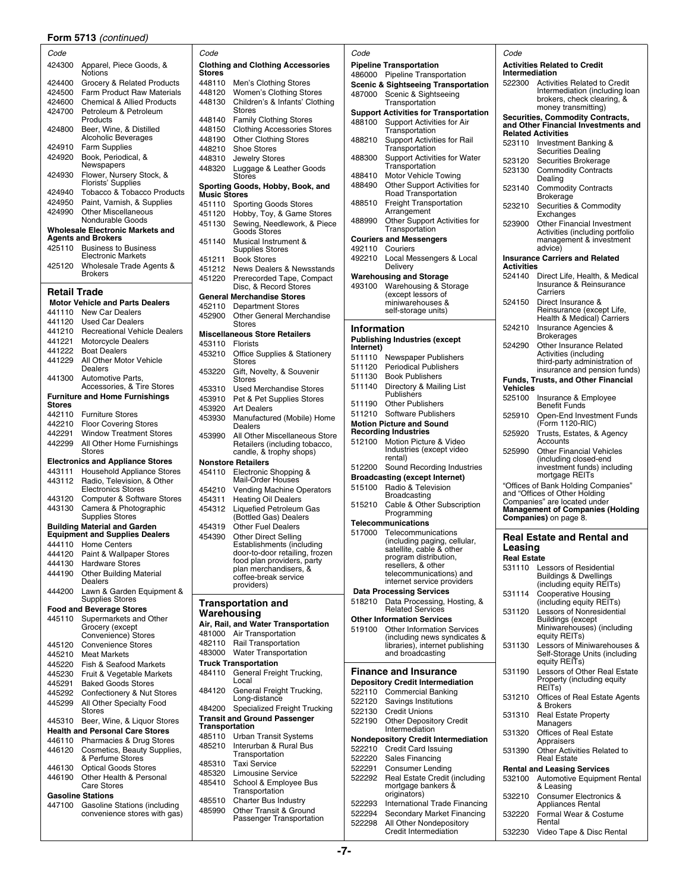### **Form 5713** *(continued)*

| Code                |                                                                              | Code                                                                       | Code                                                                                 | Code                                                                              |
|---------------------|------------------------------------------------------------------------------|----------------------------------------------------------------------------|--------------------------------------------------------------------------------------|-----------------------------------------------------------------------------------|
| 424300              | Apparel, Piece Goods, &<br>Notions                                           | <b>Clothing and Clothing Accessories</b><br><b>Stores</b>                  | <b>Pipeline Transportation</b><br>486000 Pipeline Transportation                     | <b>Activities Related to Credit</b><br>Intermediation                             |
| 424400              | Grocery & Related Products                                                   | 448110 Men's Clothing Stores                                               | <b>Scenic &amp; Sightseeing Transportation</b>                                       | 522300<br><b>Activities Related to Credit</b>                                     |
| 424500              | <b>Farm Product Raw Materials</b>                                            | Women's Clothing Stores<br>448120                                          | 487000 Scenic & Sightseeing                                                          | Intermediation (including loan<br>brokers, check clearing, &                      |
| 424600<br>424700    | <b>Chemical &amp; Allied Products</b><br>Petroleum & Petroleum               | Children's & Infants' Clothing<br>448130<br><b>Stores</b>                  | Transportation                                                                       | money transmitting)                                                               |
|                     | Products                                                                     | <b>Family Clothing Stores</b><br>448140                                    | <b>Support Activities for Transportation</b><br>488100<br>Support Activities for Air | <b>Securities, Commodity Contracts,</b>                                           |
| 424800              | Beer, Wine, & Distilled                                                      | <b>Clothing Accessories Stores</b><br>448150                               | Transportation                                                                       | and Other Financial Investments and<br><b>Related Activities</b>                  |
|                     | Alcoholic Beverages                                                          | <b>Other Clothing Stores</b><br>448190                                     | Support Activities for Rail<br>488210                                                | 523110 Investment Banking &                                                       |
| 424910              | <b>Farm Supplies</b>                                                         | 448210<br><b>Shoe Stores</b>                                               | Transportation                                                                       | <b>Securities Dealing</b>                                                         |
| 424920              | Book, Periodical, &<br>Newspapers                                            | 448310<br><b>Jewelry Stores</b>                                            | 488300<br><b>Support Activities for Water</b><br>Transportation                      | Securities Brokerage<br>523120                                                    |
| 424930              | Flower, Nursery Stock, &                                                     | 448320<br>Luggage & Leather Goods<br>Stores                                | Motor Vehicle Towing<br>488410                                                       | <b>Commodity Contracts</b><br>523130<br>Dealing                                   |
|                     | <b>Florists' Supplies</b>                                                    | Sporting Goods, Hobby, Book, and                                           | Other Support Activities for<br>488490                                               | 523140<br><b>Commodity Contracts</b>                                              |
| 424940<br>424950    | Tobacco & Tobacco Products<br>Paint, Varnish, & Supplies                     | <b>Music Stores</b>                                                        | Road Transportation                                                                  | <b>Brokerage</b>                                                                  |
| 424990              | <b>Other Miscellaneous</b>                                                   | 451110 Sporting Goods Stores<br>451120 Hobby, Toy, & Game Stores           | <b>Freight Transportation</b><br>488510<br>Arrangement                               | Securities & Commodity<br>523210<br>Exchanges                                     |
|                     | Nondurable Goods                                                             | Sewing, Needlework, & Piece<br>451130                                      | Other Support Activities for<br>488990                                               | Other Financial Investment<br>523900                                              |
|                     | <b>Wholesale Electronic Markets and</b><br><b>Agents and Brokers</b>         | Goods Stores                                                               | Transportation                                                                       | Activities (including portfolio                                                   |
|                     | 425110 Business to Business                                                  | Musical Instrument &<br>451140<br><b>Supplies Stores</b>                   | <b>Couriers and Messengers</b><br>492110 Couriers                                    | management & investment<br>advice)                                                |
|                     | <b>Electronic Markets</b>                                                    | <b>Book Stores</b><br>451211                                               | 492210<br>Local Messengers & Local                                                   | <b>Insurance Carriers and Related</b>                                             |
| 425120              | Wholesale Trade Agents &                                                     | <b>News Dealers &amp; Newsstands</b><br>451212                             | Delivery                                                                             | Activities                                                                        |
|                     | <b>Brokers</b>                                                               | Prerecorded Tape, Compact<br>451220                                        | <b>Warehousing and Storage</b>                                                       | 524140<br>Direct Life, Health, & Medical<br>Insurance & Reinsurance               |
| <b>Retail Trade</b> |                                                                              | Disc, & Record Stores<br><b>General Merchandise Stores</b>                 | Warehousing & Storage<br>493100<br>(except lessors of                                | Carriers                                                                          |
|                     | <b>Motor Vehicle and Parts Dealers</b>                                       | 452110<br><b>Department Stores</b>                                         | miniwarehouses &                                                                     | 524150<br>Direct Insurance &                                                      |
|                     | 441110 New Car Dealers                                                       | 452900<br><b>Other General Merchandise</b>                                 | self-storage units)                                                                  | Reinsurance (except Life,<br>Health & Medical) Carriers                           |
|                     | 441120 Used Car Dealers                                                      | <b>Stores</b>                                                              | <b>Information</b>                                                                   | 524210<br>Insurance Agencies &                                                    |
| 441221              | 441210 Recreational Vehicle Dealers<br><b>Motorcycle Dealers</b>             | <b>Miscellaneous Store Retailers</b>                                       | <b>Publishing Industries (except</b>                                                 | <b>Brokerages</b>                                                                 |
|                     | 441222 Boat Dealers                                                          | 453110 Florists<br>453210<br>Office Supplies & Stationery                  | Internet)                                                                            | Other Insurance Related<br>524290<br>Activities (including                        |
| 441229              | All Other Motor Vehicle                                                      | Stores                                                                     | 511110 Newspaper Publishers<br>511120 Periodical Publishers                          | third-party administration of                                                     |
|                     | Dealers<br>441300 Automotive Parts,                                          | 453220<br>Gift, Novelty, & Souvenir                                        | 511130 Book Publishers                                                               | insurance and pension funds)                                                      |
|                     | Accessories, & Tire Stores                                                   | <b>Stores</b><br>453310<br>Used Merchandise Stores                         | 511140<br>Directory & Mailing List                                                   | <b>Funds, Trusts, and Other Financial</b><br><b>Vehicles</b>                      |
|                     | <b>Furniture and Home Furnishings</b>                                        | 453910<br>Pet & Pet Supplies Stores                                        | Publishers                                                                           | 525100 Insurance & Employee                                                       |
| Stores              |                                                                              | 453920<br><b>Art Dealers</b>                                               | 511190 Other Publishers<br>511210 Software Publishers                                | <b>Benefit Funds</b>                                                              |
| 442210              | 442110 Furniture Stores<br><b>Floor Covering Stores</b>                      | 453930<br>Manufactured (Mobile) Home                                       | <b>Motion Picture and Sound</b>                                                      | 525910<br>Open-End Investment Funds<br>(Form 1120-RIC)                            |
| 442291              | <b>Window Treatment Stores</b>                                               | Dealers<br>453990<br>All Other Miscellaneous Store                         | <b>Recording Industries</b>                                                          | Trusts, Estates, & Agency<br>525920                                               |
| 442299              | All Other Home Furnishings                                                   | Retailers (including tobacco,                                              | 512100 Motion Picture & Video                                                        | Accounts                                                                          |
|                     | Stores                                                                       | candle, & trophy shops)                                                    | Industries (except video<br>rental)                                                  | 525990<br><b>Other Financial Vehicles</b><br>(including closed-end                |
|                     | <b>Electronics and Appliance Stores</b><br>443111 Household Appliance Stores | <b>Nonstore Retailers</b><br>454110 Electronic Shopping &                  | 512200 Sound Recording Industries                                                    | investment funds) including                                                       |
|                     | 443112 Radio, Television, & Other                                            | Mail-Order Houses                                                          | <b>Broadcasting (except Internet)</b>                                                | mortgage REITs                                                                    |
|                     | <b>Electronics Stores</b>                                                    | <b>Vending Machine Operators</b><br>454210                                 | 515100<br>Radio & Television                                                         | "Offices of Bank Holding Companies"<br>and "Offices of Other Holding              |
|                     | 443120 Computer & Software Stores                                            | 454311<br><b>Heating Oil Dealers</b>                                       | Broadcasting<br>Cable & Other Subscription<br>515210                                 | Companies" are located under                                                      |
| 443130              | Camera & Photographic<br><b>Supplies Stores</b>                              | 454312 Liquefied Petroleum Gas<br>(Bottled Gas) Dealers                    | Programming                                                                          | <b>Management of Companies (Holding</b><br><b>Companies)</b> on page 8.           |
|                     | <b>Building Material and Garden</b>                                          | 454319<br><b>Other Fuel Dealers</b>                                        | Telecommunications                                                                   |                                                                                   |
|                     | <b>Equipment and Supplies Dealers</b>                                        | 454390<br><b>Other Direct Selling</b>                                      | Telecommunications<br>517000<br>(including paging, cellular,                         | <b>Real Estate and Rental and</b>                                                 |
|                     | 444110 Home Centers<br>444120 Paint & Wallpaper Stores                       | Establishments (including<br>door-to-door retailing, frozen                | satellite, cable & other                                                             | Leasing                                                                           |
| 444130              | <b>Hardware Stores</b>                                                       | food plan providers, party                                                 | program distribution,<br>resellers, & other                                          | <b>Real Estate</b>                                                                |
| 444190              | <b>Other Building Material</b>                                               | plan merchandisers, &<br>coffee-break service                              | telecommunications) and                                                              | 531110 Lessors of Residential<br><b>Buildings &amp; Dwellings</b>                 |
|                     | Dealers                                                                      | providers)                                                                 | internet service providers                                                           | (including equity REITs)                                                          |
| 444200              | Lawn & Garden Equipment &<br><b>Supplies Stores</b>                          |                                                                            | <b>Data Processing Services</b><br>518210 Data Processing, Hosting, &                | <b>Cooperative Housing</b><br>531114<br>(including equity REITs)                  |
|                     | <b>Food and Beverage Stores</b>                                              | <b>Transportation and</b><br>Warehousing                                   | <b>Related Services</b>                                                              | Lessors of Nonresidential<br>531120                                               |
| 445110              | Supermarkets and Other                                                       | Air, Rail, and Water Transportation                                        | <b>Other Information Services</b>                                                    | <b>Buildings (except</b>                                                          |
|                     | Grocery (except<br>Convenience) Stores                                       | 481000 Air Transportation                                                  | <b>Other Information Services</b><br>519100<br>(including news syndicates &          | Miniwarehouses) (including<br>equity REITs)                                       |
| 445120              | <b>Convenience Stores</b>                                                    | 482110 Rail Transportation                                                 | libraries), internet publishing                                                      | Lessors of Miniwarehouses &<br>531130                                             |
| 445210              | <b>Meat Markets</b>                                                          | 483000 Water Transportation                                                | and broadcasting                                                                     | Self-Storage Units (including                                                     |
|                     | 445220 Fish & Seafood Markets                                                | <b>Truck Transportation</b><br>484110 General Freight Trucking,            | <b>Finance and Insurance</b>                                                         | equity REITs)<br>Lessors of Other Real Estate<br>531190                           |
| 445230<br>445291    | Fruit & Vegetable Markets<br><b>Baked Goods Stores</b>                       | Local                                                                      | <b>Depository Credit Intermediation</b>                                              | Property (including equity                                                        |
| 445292              | Confectionery & Nut Stores                                                   | General Freight Trucking,<br>484120                                        | 522110 Commercial Banking                                                            | REIT <sub>s</sub> )                                                               |
| 445299              | All Other Specialty Food                                                     | Long-distance                                                              | 522120<br>Savings Institutions                                                       | Offices of Real Estate Agents<br>531210<br>& Brokers                              |
|                     | Stores<br>445310 Beer, Wine, & Liquor Stores                                 | 484200 Specialized Freight Trucking<br><b>Transit and Ground Passenger</b> | 522130<br><b>Credit Unions</b><br>522190                                             | <b>Real Estate Property</b><br>531310                                             |
|                     | <b>Health and Personal Care Stores</b>                                       | Transportation                                                             | <b>Other Depository Credit</b><br>Intermediation                                     | Managers                                                                          |
|                     | 446110 Pharmacies & Drug Stores                                              | 485110 Urban Transit Systems                                               | <b>Nondepository Credit Intermediation</b>                                           | Offices of Real Estate<br>531320<br>Appraisers                                    |
|                     | 446120 Cosmetics, Beauty Supplies,                                           | 485210 Interurban & Rural Bus<br>Transportation                            | 522210 Credit Card Issuing                                                           | Other Activities Related to<br>531390                                             |
|                     | & Perfume Stores                                                             | <b>Taxi Service</b><br>485310                                              | 522220 Sales Financing                                                               | <b>Real Estate</b>                                                                |
| 446190              | 446130 Optical Goods Stores<br>Other Health & Personal                       | 485320<br>Limousine Service                                                | 522291<br><b>Consumer Lending</b><br>522292<br>Real Estate Credit (including         | <b>Rental and Leasing Services</b><br><b>Automotive Equipment Renta</b><br>532100 |
|                     | Care Stores                                                                  | School & Employee Bus<br>485410                                            | mortgage bankers &                                                                   | & Leasing                                                                         |
|                     | <b>Gasoline Stations</b>                                                     | Transportation<br><b>Charter Bus Industry</b><br>485510                    | originators)                                                                         | 532210 Consumer Electronics &                                                     |
| 447100              | <b>Gasoline Stations (including</b><br>convenience stores with gas)          | 485990<br>Other Transit & Ground                                           | 522293<br>International Trade Financing<br>522294<br>Secondary Market Financing      | <b>Appliances Rental</b><br>Formal Wear & Costume<br>532220                       |
|                     |                                                                              | <b>Doccongor Transportation</b>                                            |                                                                                      |                                                                                   |

| uuu              |                                                                  |                       |                                                                |                    |                                                               |                    |                                                                          |
|------------------|------------------------------------------------------------------|-----------------------|----------------------------------------------------------------|--------------------|---------------------------------------------------------------|--------------------|--------------------------------------------------------------------------|
|                  | 424300 Apparel, Piece Goods, &                                   | <b>Stores</b>         | <b>Clothing and Clothing Accessories</b>                       |                    | <b>Pipeline Transportation</b>                                | Intermediation     | <b>Activities Related to Credit</b>                                      |
| 424400           | Notions<br>Grocery & Related Products                            |                       | 448110 Men's Clothing Stores                                   |                    | 486000 Pipeline Transportation                                | 522300             | <b>Activities Related to Credit</b>                                      |
| 424500           | <b>Farm Product Raw Materials</b>                                | 448120                | Women's Clothing Stores                                        |                    | <b>Scenic &amp; Sightseeing Transportation</b>                |                    | Intermediation (including loan                                           |
| 424600           | <b>Chemical &amp; Allied Products</b>                            | 448130                | Children's & Infants' Clothing                                 |                    | 487000 Scenic & Sightseeing<br>Transportation                 |                    | brokers, check clearing, &                                               |
| 424700           | Petroleum & Petroleum                                            |                       | Stores                                                         |                    | <b>Support Activities for Transportation</b>                  |                    | money transmitting)                                                      |
|                  | Products                                                         |                       | 448140 Family Clothing Stores                                  | 488100             | Support Activities for Air                                    |                    | <b>Securities, Commodity Contracts,</b>                                  |
| 424800           | Beer, Wine, & Distilled                                          |                       | 448150 Clothing Accessories Stores                             |                    | Transportation                                                |                    | and Other Financial Investments and<br><b>Related Activities</b>         |
|                  | Alcoholic Beverages                                              |                       | 448190 Other Clothing Stores                                   | 488210             | Support Activities for Rail                                   |                    | 523110 Investment Banking &                                              |
| 424910           | <b>Farm Supplies</b>                                             |                       | 448210 Shoe Stores                                             |                    | Transportation                                                |                    | <b>Securities Dealing</b>                                                |
| 424920           | Book, Periodical, &                                              | 448310                | <b>Jewelry Stores</b>                                          | 488300             | Support Activities for Water                                  | 523120             | Securities Brokerage                                                     |
| 424930           | Newspapers<br>Flower, Nursery Stock, &                           | 448320                | Luggage & Leather Goods                                        |                    | Transportation                                                | 523130             | <b>Commodity Contracts</b>                                               |
|                  | Florists' Supplies                                               |                       | <b>Stores</b>                                                  | 488410<br>488490   | Motor Vehicle Towing<br>Other Support Activities for          |                    | Dealing                                                                  |
| 424940           | Tobacco & Tobacco Products                                       | <b>Music Stores</b>   | Sporting Goods, Hobby, Book, and                               |                    | Road Transportation                                           | 523140             | <b>Commodity Contracts</b>                                               |
| 424950           | Paint, Varnish, & Supplies                                       |                       | 451110 Sporting Goods Stores                                   | 488510             | <b>Freight Transportation</b>                                 | 523210             | <b>Brokerage</b><br>Securities & Commodity                               |
| 424990           | <b>Other Miscellaneous</b>                                       |                       | 451120 Hobby, Toy, & Game Stores                               |                    | Arrangement                                                   |                    | Exchanges                                                                |
|                  | Nondurable Goods                                                 |                       | 451130 Sewing, Needlework, & Piece                             | 488990             | Other Support Activities for                                  | 523900             | <b>Other Financial Investment</b>                                        |
|                  | Wholesale Electronic Markets and                                 |                       | <b>Goods Stores</b>                                            |                    | Transportation                                                |                    | Activities (including portfolio                                          |
|                  | <b>Agents and Brokers</b><br>425110 Business to Business         | 451140                | Musical Instrument &                                           |                    | <b>Couriers and Messengers</b><br>Couriers                    |                    | management & investment<br>advice)                                       |
|                  | <b>Electronic Markets</b>                                        |                       | <b>Supplies Stores</b>                                         | 492110<br>492210   | Local Messengers & Local                                      |                    | <b>Insurance Carriers and Related</b>                                    |
| 425120           | Wholesale Trade Agents &                                         |                       | 451211 Book Stores<br>451212 News Dealers & Newsstands         |                    | Delivery                                                      | <b>Activities</b>  |                                                                          |
|                  | <b>Brokers</b>                                                   | 451220                | Prerecorded Tape, Compact                                      |                    | <b>Warehousing and Storage</b>                                | 524140             | Direct Life, Health, & Medical                                           |
|                  |                                                                  |                       | Disc, & Record Stores                                          | 493100             | Warehousing & Storage                                         |                    | Insurance & Reinsurance                                                  |
| Retail Trade     |                                                                  |                       | <b>General Merchandise Stores</b>                              |                    | (except lessors of                                            |                    | Carriers                                                                 |
|                  | <b>Motor Vehicle and Parts Dealers</b>                           | 452110                | <b>Department Stores</b>                                       |                    | miniwarehouses &                                              | 524150             | Direct Insurance &<br>Reinsurance (except Life,                          |
|                  | 441110 New Car Dealers                                           | 452900                | Other General Merchandise                                      |                    | self-storage units)                                           |                    | Health & Medical) Carriers                                               |
|                  | 441120 Used Car Dealers                                          |                       | <b>Stores</b>                                                  | <b>Information</b> |                                                               | 524210             | <b>Insurance Agencies &amp;</b>                                          |
| 441210<br>441221 | <b>Recreational Vehicle Dealers</b><br><b>Motorcycle Dealers</b> |                       | <b>Miscellaneous Store Retailers</b>                           |                    | <b>Publishing Industries (except</b>                          |                    | <b>Brokerages</b>                                                        |
| 441222           | <b>Boat Dealers</b>                                              | 453110                | Florists                                                       | Internet)          |                                                               | 524290             | Other Insurance Related                                                  |
|                  | 441229 All Other Motor Vehicle                                   |                       | 453210 Office Supplies & Stationery<br><b>Stores</b>           |                    | 511110 Newspaper Publishers                                   |                    | Activities (including<br>third-party administration of                   |
|                  | Dealers                                                          | 453220                | Gift, Novelty, & Souvenir                                      |                    | 511120 Periodical Publishers                                  |                    | insurance and pension funds)                                             |
| 441300           | Automotive Parts,                                                |                       | <b>Stores</b>                                                  | 511130             | <b>Book Publishers</b>                                        |                    | <b>Funds, Trusts, and Other Financial</b>                                |
|                  | Accessories, & Tire Stores                                       |                       | 453310 Used Merchandise Stores                                 | 511140             | Directory & Mailing List                                      | <b>Vehicles</b>    |                                                                          |
|                  | <b>Furniture and Home Furnishings</b>                            |                       | 453910 Pet & Pet Supplies Stores                               | 511190             | Publishers<br><b>Other Publishers</b>                         |                    | 525100 Insurance & Employee                                              |
| Stores<br>442110 |                                                                  |                       | 453920 Art Dealers                                             |                    | 511210 Software Publishers                                    |                    | <b>Benefit Funds</b>                                                     |
| 442210           | <b>Furniture Stores</b><br><b>Floor Covering Stores</b>          | 453930                | Manufactured (Mobile) Home                                     |                    | <b>Motion Picture and Sound</b>                               | 525910             | Open-End Investment Funds<br>(Form 1120-RIC)                             |
| 442291           | <b>Window Treatment Stores</b>                                   |                       | Dealers                                                        |                    | <b>Recording Industries</b>                                   | 525920             | Trusts, Estates, & Agency                                                |
| 442299           | All Other Home Furnishings                                       | 453990                | All Other Miscellaneous Store<br>Retailers (including tobacco, | 512100             | Motion Picture & Video                                        |                    | Accounts                                                                 |
|                  | Stores                                                           |                       | candle, & trophy shops)                                        |                    | Industries (except video                                      | 525990             | <b>Other Financial Vehicles</b>                                          |
|                  | <b>Electronics and Appliance Stores</b>                          |                       | <b>Nonstore Retailers</b>                                      |                    | rental)                                                       |                    | (including closed-end                                                    |
|                  | 443111 Household Appliance Stores                                |                       | 454110 Electronic Shopping &                                   |                    | 512200 Sound Recording Industries                             |                    | investment funds) including<br>mortgage REITs                            |
|                  | 443112 Radio, Television, & Other                                |                       | Mail-Order Houses                                              | 515100             | <b>Broadcasting (except Internet)</b><br>Radio & Television   |                    | "Offices of Bank Holding Companies"                                      |
|                  | <b>Electronics Stores</b>                                        |                       | 454210 Vending Machine Operators                               |                    | Broadcasting                                                  |                    | and "Offices of Other Holding                                            |
| 443120           | Computer & Software Stores                                       | 454311                | <b>Heating Oil Dealers</b>                                     | 515210             | Cable & Other Subscription                                    |                    | Companies" are located under                                             |
| 443130           | Camera & Photographic<br><b>Supplies Stores</b>                  |                       | 454312 Liquefied Petroleum Gas<br>(Bottled Gas) Dealers        |                    | Programming                                                   |                    | <b>Management of Companies (Holding</b><br><b>Companies</b> ) on page 8. |
|                  | <b>Building Material and Garden</b>                              | 454319                | <b>Other Fuel Dealers</b>                                      |                    | Telecommunications                                            |                    |                                                                          |
|                  | <b>Equipment and Supplies Dealers</b>                            | 454390                | <b>Other Direct Selling</b>                                    | 517000             | Telecommunications                                            |                    | <b>Real Estate and Rental and</b>                                        |
|                  | 444110 Home Centers                                              |                       | Establishments (including                                      |                    | (including paging, cellular,<br>satellite, cable & other      | Leasing            |                                                                          |
|                  | 444120 Paint & Wallpaper Stores                                  |                       | door-to-door retailing, frozen                                 |                    | program distribution,                                         | <b>Real Estate</b> |                                                                          |
| 444130           | <b>Hardware Stores</b>                                           |                       | food plan providers, party<br>plan merchandisers, &            |                    | resellers, & other                                            | 531110             | <b>Lessors of Residential</b>                                            |
| 444190           | <b>Other Building Material</b>                                   |                       | coffee-break service                                           |                    | telecommunications) and                                       |                    | <b>Buildings &amp; Dwellings</b>                                         |
| 444200           | Dealers<br>Lawn & Garden Equipment &                             |                       | providers)                                                     |                    | internet service providers<br><b>Data Processing Services</b> |                    | (including equity REITs)                                                 |
|                  | <b>Supplies Stores</b>                                           |                       |                                                                | 518210             | Data Processing, Hosting, &                                   | 531114             | <b>Cooperative Housing</b><br>(including equity REITs)                   |
|                  | <b>Food and Beverage Stores</b>                                  |                       | <b>Transportation and</b><br>Warehousing                       |                    | <b>Related Services</b>                                       | 531120             | Lessors of Nonresidential                                                |
| 445110           | Supermarkets and Other                                           |                       | Air, Rail, and Water Transportation                            |                    | <b>Other Information Services</b>                             |                    | <b>Buildings (except</b>                                                 |
|                  | Grocery (except                                                  |                       | 481000 Air Transportation                                      | 519100             | <b>Other Information Services</b>                             |                    | Miniwarehouses) (including                                               |
|                  | Convenience) Stores<br><b>Convenience Stores</b>                 |                       | 482110 Rail Transportation                                     |                    | (including news syndicates &                                  |                    | equity REITs)                                                            |
| 445120<br>445210 | <b>Meat Markets</b>                                              |                       | 483000 Water Transportation                                    |                    | libraries), internet publishing<br>and broadcasting           | 531130             | Lessors of Miniwarehouses &<br>Self-Storage Units (including             |
| 445220           | Fish & Seafood Markets                                           |                       | <b>Truck Transportation</b>                                    |                    |                                                               |                    | equity REITs)                                                            |
| 445230           | Fruit & Vegetable Markets                                        |                       | 484110 General Freight Trucking,                               |                    | <b>Finance and Insurance</b>                                  | 531190             | Lessors of Other Real Estate                                             |
| 445291           | <b>Baked Goods Stores</b>                                        |                       | Local                                                          |                    | <b>Depository Credit Intermediation</b>                       |                    | Property (including equity                                               |
| 445292           | Confectionery & Nut Stores                                       | 484120                | General Freight Trucking,                                      |                    | 522110 Commercial Banking                                     |                    | REIT <sub>s</sub> )                                                      |
| 445299           | All Other Specialty Food                                         |                       | Long-distance                                                  | 522120             | Savings Institutions                                          | 531210             | Offices of Real Estate Agents<br>& Brokers                               |
|                  | <b>Stores</b>                                                    |                       | 484200 Specialized Freight Trucking                            | 522130             | <b>Credit Unions</b>                                          | 531310             | <b>Real Estate Property</b>                                              |
|                  | 445310 Beer, Wine, & Liquor Stores                               | <b>Transportation</b> | <b>Transit and Ground Passenger</b>                            | 522190             | <b>Other Depository Credit</b>                                |                    | Managers                                                                 |
|                  | <b>Health and Personal Care Stores</b>                           |                       | 485110 Urban Transit Systems                                   |                    | Intermediation                                                | 531320             | Offices of Real Estate                                                   |
| 446110           | Pharmacies & Drug Stores                                         |                       | 485210 Interurban & Rural Bus                                  |                    | <b>Nondepository Credit Intermediation</b>                    |                    | Appraisers                                                               |
| 446120           | Cosmetics, Beauty Supplies,                                      |                       | Transportation                                                 | 522210             | <b>Credit Card Issuing</b>                                    | 531390             | Other Activities Related to                                              |
| 446130           | & Perfume Stores<br><b>Optical Goods Stores</b>                  |                       | 485310 Taxi Service                                            | 522220<br>522291   | Sales Financing<br><b>Consumer Lending</b>                    |                    | <b>Real Estate</b>                                                       |
| 446190           | Other Health & Personal                                          | 485320                | <b>Limousine Service</b>                                       | 522292             | Real Estate Credit (including                                 |                    | <b>Rental and Leasing Services</b><br>532100 Automotive Equipment Renta  |
|                  | <b>Care Stores</b>                                               |                       | 485410 School & Employee Bus                                   |                    | mortgage bankers &                                            |                    | & Leasing                                                                |
|                  | <b>Gasoline Stations</b>                                         |                       | Transportation                                                 |                    | originators)                                                  | 532210             | Consumer Electronics &                                                   |
| 447100           | <b>Gasoline Stations (including</b>                              |                       | 485510 Charter Bus Industry                                    | 522293             | International Trade Financing                                 |                    | Appliances Rental                                                        |
|                  | convenience stores with gas)                                     | 485990                | Other Transit & Ground<br>Passenger Transportation             | 522294             | Secondary Market Financing                                    | 532220             | Formal Wear & Costume                                                    |
|                  |                                                                  |                       |                                                                | 522298             | All Other Nondepository                                       |                    | Rental                                                                   |

| 'ode              |                                                                   | Code               |                                                                      |
|-------------------|-------------------------------------------------------------------|--------------------|----------------------------------------------------------------------|
|                   |                                                                   |                    |                                                                      |
|                   | ipeline Transportation                                            | Intermediation     | <b>Activities Related to Credit</b>                                  |
| 86000             | Pipeline Transportation                                           | 522300             | <b>Activities Related to Credit</b>                                  |
|                   | cenic & Sightseeing Transportation                                |                    | Intermediation (including k                                          |
| 37000             | Scenic & Sightseeing                                              |                    | brokers, check clearing, &                                           |
|                   | Transportation                                                    |                    | money transmitting)                                                  |
|                   | upport Activities for Transportation                              |                    | <b>Securities, Commodity Contracts.</b>                              |
| 88100             | Support Activities for Air                                        |                    | and Other Financial Investments a                                    |
|                   | Transportation                                                    |                    | <b>Related Activities</b>                                            |
| 88210             | Support Activities for Rail                                       | 523110             | Investment Banking &                                                 |
|                   | Transportation                                                    |                    | <b>Securities Dealing</b>                                            |
| 88300             | <b>Support Activities for Water</b>                               | 523120             | Securities Brokerage                                                 |
|                   | Transportation                                                    | 523130             | <b>Commodity Contracts</b>                                           |
| 88410             | Motor Vehicle Towing                                              |                    | Dealing                                                              |
| 88490             | Other Support Activities for                                      | 523140             | <b>Commodity Contracts</b>                                           |
|                   | Road Transportation                                               |                    | Brokerage                                                            |
| 88510             | <b>Freight Transportation</b>                                     | 523210             | Securities & Commodity                                               |
|                   | Arrangement                                                       |                    | Exchanges                                                            |
| 38990             | Other Support Activities for                                      | 523900             | Other Financial Investmen                                            |
|                   | Transportation                                                    |                    | Activities (including portfol                                        |
|                   | ouriers and Messengers                                            |                    | management & investmen                                               |
| 92110             | Couriers                                                          |                    | advice)                                                              |
| 92210             | Local Messengers & Local                                          | <b>Activities</b>  | <b>Insurance Carriers and Related</b>                                |
|                   | Delivery                                                          |                    |                                                                      |
|                   | arehousing and Storage                                            | 524140             | Direct Life, Health, & Medi<br>Insurance & Reinsurance               |
| 93100             | Warehousing & Storage                                             |                    | Carriers                                                             |
|                   | (except lessors of                                                | 524150             | Direct Insurance &                                                   |
|                   | miniwarehouses &<br>self-storage units)                           |                    | Reinsurance (except Life,                                            |
|                   |                                                                   |                    | Health & Medical) Carriers                                           |
| າformation        |                                                                   | 524210             | Insurance Agencies &                                                 |
|                   |                                                                   |                    | <b>Brokerages</b>                                                    |
|                   | ublishing Industries (except                                      | 524290             | Other Insurance Related                                              |
| ıternet)<br>11110 |                                                                   |                    | Activities (including                                                |
|                   | Newspaper Publishers                                              |                    | third-party administration o                                         |
| 11120             | <b>Periodical Publishers</b>                                      |                    | insurance and pension fun                                            |
| 11130             | <b>Book Publishers</b>                                            |                    | <b>Funds, Trusts, and Other Financia</b>                             |
| 11140             | Directory & Mailing List                                          | <b>Vehicles</b>    |                                                                      |
|                   | Publishers                                                        | 525100             | Insurance & Employee                                                 |
| 11190             | <b>Other Publishers</b>                                           |                    | <b>Benefit Funds</b>                                                 |
| 11210             | Software Publishers                                               | 525910             | Open-End Investment Fun                                              |
|                   | lotion Picture and Sound                                          |                    | (Form 1120-RIC)                                                      |
|                   | ecording Industries                                               | 525920             | Trusts, Estates, & Agency                                            |
| 12100             | Motion Picture & Video                                            |                    | Accounts                                                             |
|                   | Industries (except video                                          | 525990             | Other Financial Vehicles                                             |
|                   | rental)                                                           |                    | (including closed-end                                                |
|                   |                                                                   |                    |                                                                      |
| 12200             | Sound Recording Industries                                        |                    | investment funds) includin                                           |
|                   | roadcasting (except Internet)                                     |                    | mortgage REITs                                                       |
| 15100             | Radio & Television                                                |                    | "Offices of Bank Holding Companies                                   |
|                   | Broadcasting                                                      |                    | and "Offices of Other Holding                                        |
| 15210             | Cable & Other Subscription                                        |                    | Companies" are located under                                         |
|                   | Programming                                                       |                    | <b>Management of Companies (Hold</b><br><b>Companies)</b> on page 8. |
|                   | elecommunications                                                 |                    |                                                                      |
| 17000             | Telecommunications                                                |                    | <b>Real Estate and Rental and</b>                                    |
|                   | (including paging, cellular,                                      |                    |                                                                      |
|                   | satellite, cable & other                                          | Leasing            |                                                                      |
|                   | program distribution,                                             | <b>Real Estate</b> |                                                                      |
|                   | resellers, & other<br>telecommunications) and                     | 531110             | Lessors of Residential                                               |
|                   | internet service providers                                        |                    | <b>Buildings &amp; Dwellings</b>                                     |
|                   | <b>Jata Processing Services</b>                                   |                    | (including equity REITs)                                             |
| 18210             | Data Processing, Hosting, &                                       | 531114             | Cooperative Housing                                                  |
|                   | <b>Related Services</b>                                           | 531120             | (including equity REITs)                                             |
|                   | ther Information Services                                         |                    | Lessors of Nonresidential<br>Buildings (except                       |
| 19100             |                                                                   |                    | Miniwarehouses) (includin                                            |
|                   | <b>Other Information Services</b><br>(including news syndicates & |                    | equity REITs)                                                        |
|                   | libraries), internet publishing                                   | 531130             | Lessors of Miniwarehouse                                             |
|                   | and broadcasting                                                  |                    | Self-Storage Units (includi                                          |
|                   |                                                                   |                    | equity REITs)                                                        |
|                   | inance and Insurance                                              | 531190             | Lessors of Other Real Esta                                           |
|                   | epository Credit Intermediation                                   |                    | Property (including equity                                           |
| 22110             | <b>Commercial Banking</b>                                         |                    | REITs)                                                               |
| 22120             |                                                                   | 531210             | Offices of Real Estate Age                                           |
|                   | Savings Institutions                                              |                    | & Brokers                                                            |
| 22130             | <b>Credit Unions</b>                                              | 531310             | <b>Real Estate Property</b>                                          |
| 22190             | <b>Other Depository Credit</b><br>Intermediation                  |                    | Managers                                                             |
|                   |                                                                   | 531320             | Offices of Real Estate                                               |
|                   | ondepository Credit Intermediation                                |                    | Appraisers                                                           |
| 22210             | <b>Credit Card Issuing</b>                                        | 531390             | Other Activities Related to                                          |
| 22220             | Sales Financing                                                   |                    | <b>Real Estate</b>                                                   |
| 22291             | Consumer Lending                                                  |                    | <b>Rental and Leasing Services</b>                                   |
| 22292             | Real Estate Credit (including                                     | 532100             | Automotive Equipment Re                                              |
|                   | mortgage bankers &                                                |                    | & Leasing                                                            |
|                   | originators)                                                      | 532210             | Consumer Electronics &                                               |
| 22293             | International Trade Financing                                     |                    | Appliances Rental                                                    |
| 22294             | Secondary Market Financing                                        | 532220             | Formal Wear & Costume<br>Rental                                      |
| 22298             | All Other Nondepository<br>Credit Intermediation                  | 532230             | Video Tape & Disc Rental                                             |

| Code               |                                                               |
|--------------------|---------------------------------------------------------------|
| ntermediation      | <b>Activities Related to Credit</b>                           |
| 22300              | <b>Activities Related to Credit</b>                           |
|                    | Intermediation (including loan                                |
|                    | brokers, check clearing, &                                    |
|                    | money transmitting)                                           |
|                    | Securities, Commodity Contracts,                              |
|                    | and Other Financial Investments and                           |
|                    | <b>Related Activities</b>                                     |
| 523110             | Investment Banking &                                          |
|                    | <b>Securities Dealing</b>                                     |
| 523120             | Securities Brokerage                                          |
| 523130             | <b>Commodity Contracts</b>                                    |
|                    | Dealing                                                       |
| 23140              | <b>Commodity Contracts</b>                                    |
|                    | Brokerage                                                     |
| 523210             | Securities & Commodity                                        |
|                    | Exchanges                                                     |
| 523900             | Other Financial Investment                                    |
|                    | Activities (including portfolio                               |
|                    | management & investment<br>advice)                            |
|                    |                                                               |
| <b>\ctivities</b>  | nsurance Carriers and Related                                 |
| 524140             |                                                               |
|                    | Direct Life, Health, & Medical<br>Insurance & Reinsurance     |
|                    | Carriers                                                      |
| 24150ۃ             | Direct Insurance &                                            |
|                    | Reinsurance (except Life,                                     |
|                    | Health & Medical) Carriers                                    |
| 24210              | Insurance Agencies &                                          |
|                    | <b>Brokerages</b>                                             |
| 524290             | Other Insurance Related                                       |
|                    | Activities (including                                         |
|                    | third-party administration of<br>insurance and pension funds) |
|                    |                                                               |
|                    | unds, Trusts, and Other Financial                             |
| /ehicles           |                                                               |
| 25100              | Insurance & Employee                                          |
|                    | Benefit Funds                                                 |
| 525910             | Open-End Investment Funds                                     |
|                    | (Form 1120-RIC)                                               |
| 525920             | Trusts, Estates, & Agency<br>Accounts                         |
| 525990             | <b>Other Financial Vehicles</b>                               |
|                    | (including closed-end                                         |
|                    | investment funds) including                                   |
|                    | mortgage REITs                                                |
|                    | Offices of Bank Holding Companies"                            |
|                    | and "Offices of Other Holding                                 |
|                    | Companies" are located under                                  |
|                    | Management of Companies (Holding                              |
|                    | Companies) on page 8.                                         |
|                    |                                                               |
|                    | Real Estate and Rental and                                    |
| Leasing            |                                                               |
| <b>Real Estate</b> |                                                               |
| 531110             | Lessors of Residential                                        |
|                    | Buildings & Dwellings                                         |
|                    | (including equity REITs)                                      |
| 531114             | <b>Cooperative Housing</b>                                    |
|                    | (including equity REITs)                                      |
| 531120             | Lessors of Nonresidential<br><b>Buildings (except</b>         |
|                    | Miniwarehouses) (including                                    |
|                    | equity REITs)                                                 |
| 531130             | Lessors of Miniwarehouses &                                   |
|                    | Self-Storage Units (including                                 |
|                    | equity REITs)                                                 |
| 531190             | Lessors of Other Real Estate                                  |
|                    | Property (including equity                                    |
|                    | REITs)                                                        |
| 531210             | Offices of Real Estate Agents                                 |
|                    | & Brokers                                                     |
| 531310             | <b>Real Estate Property</b>                                   |
|                    | Managers                                                      |
| 531320             | Offices of Real Estate                                        |
|                    | Appraisers                                                    |
| 531390             | Other Activities Related to<br>Real Estate                    |
|                    |                                                               |